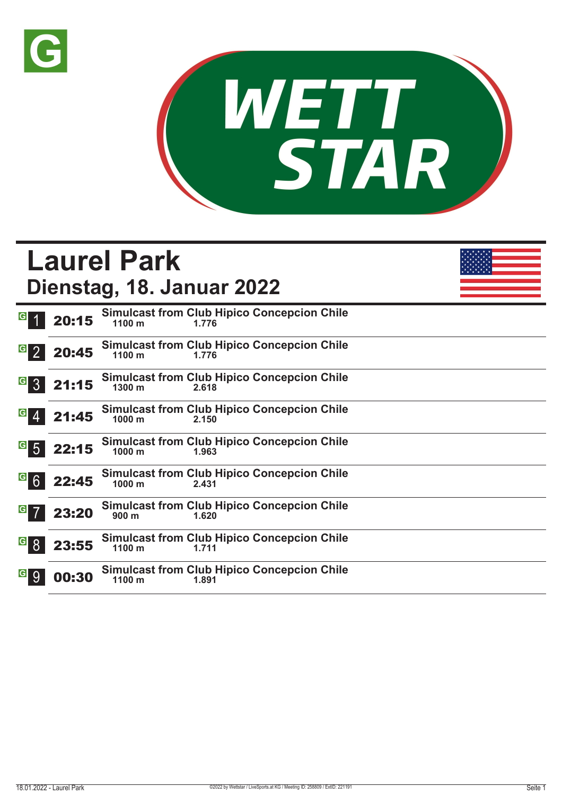



# **Laurel Park Dienstag, 18. Januar 2022**

| G               | 20:15 | <b>Simulcast from Club Hipico Concepcion Chile</b><br>$1100 \text{ m}$<br>1.776  |
|-----------------|-------|----------------------------------------------------------------------------------|
| $G_{2}$         | 20:45 | <b>Simulcast from Club Hipico Concepcion Chile</b><br>$1100 \text{ m}$<br>1.776  |
| G <sub>3</sub>  | 21:15 | <b>Simulcast from Club Hipico Concepcion Chile</b><br>1300 m<br>2.618            |
| $G \ 4$         | 21:45 | <b>Simulcast from Club Hipico Concepcion Chile</b><br>1000 <sub>m</sub><br>2.150 |
| $g$ 5           | 22:15 | <b>Simulcast from Club Hipico Concepcion Chile</b><br>1000 m<br>1.963            |
| G6              | 22:45 | <b>Simulcast from Club Hipico Concepcion Chile</b><br>1000 <sub>m</sub><br>2.431 |
| $\vert G \vert$ | 23:20 | <b>Simulcast from Club Hipico Concepcion Chile</b><br>900 <sub>m</sub><br>1.620  |
| $\vert G \vert$ | 23:55 | <b>Simulcast from Club Hipico Concepcion Chile</b><br>$1100 \text{ m}$<br>1.711  |
| G 9             | 00:30 | <b>Simulcast from Club Hipico Concepcion Chile</b><br>1100 m<br>1.891            |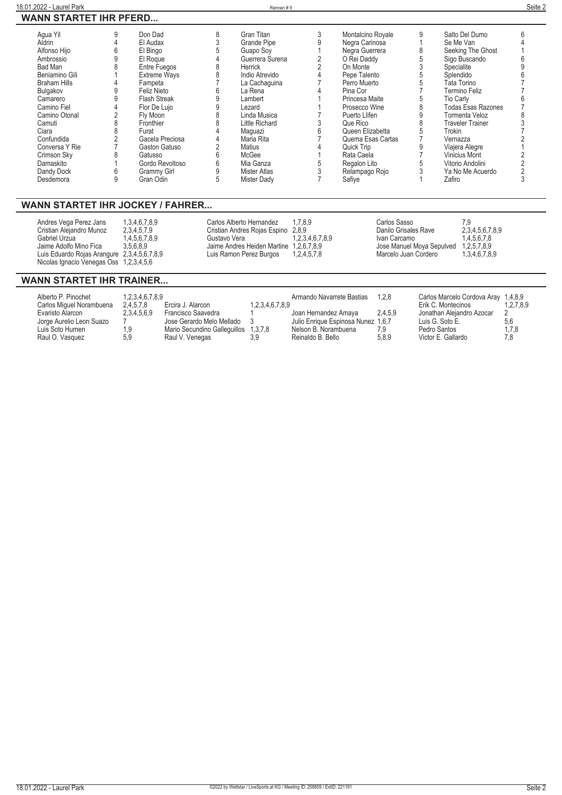| Agua Yil            | Don Dad             |   | Gran Titan         | Montalcino Royale | Salto Del Dumo            |  |
|---------------------|---------------------|---|--------------------|-------------------|---------------------------|--|
| Aldrin              | El Audax            |   | <b>Grande Pipe</b> | Negra Carinosa    | Se Me Van                 |  |
| Alfonso Hijo        | El Bingo            |   | Guapo Soy          | Negra Guerrera    | Seeking The Ghost         |  |
| Ambrossio           | El Roque            |   | Guerrera Surena    | O Rei Daddy       | Sigo Buscando             |  |
| Bad Man             | Entre Fuegos        |   | Herrick            | On Monte          | Specialite                |  |
| Beniamino Gili      | <b>Extreme Ways</b> |   | Indio Atrevido     | Pepe Talento      | Splendido                 |  |
| <b>Braham Hills</b> | Fampeta             |   | La Cachaguina      | Perro Muerto      | Tata Torino               |  |
| Bulgakov            | Feliz Nieto         |   | La Rena            | Pina Cor          | Termino Feliz             |  |
| Camarero            | <b>Flash Streak</b> |   | Lambert            | Princesa Maite    | Tio Carly                 |  |
| Camino Fiel         | Flor De Lujo        |   | Lezard             | Prosecco Wine     | <b>Todas Esas Razones</b> |  |
| Camino Otonal       | Fly Moon            |   | Linda Musica       | Puerto Llifen     | Tormenta Veloz            |  |
| Camuti              | Fronthier           |   | Little Richard     | Que Rico          | Traveler Trainer          |  |
| Ciara               | Furat               |   | Maguazi            | Queen Elizabetta  | Trokin                    |  |
| Confundida          | Gacela Preciosa     |   | Maria Rita         | Quema Esas Cartas | Vernazza                  |  |
| Conversa Y Rie      | Gaston Gatuso       |   | Matius             | Quick Trip        | Viajera Alegre            |  |
| Crimson Sky         | Gatusso             |   | McGee              | Rata Caela        | Vinicius Mont             |  |
| Damaskito           | Gordo Revoltoso     |   | Mia Ganza          | Regalon Lito      | Vitorio Andolini          |  |
| Dandy Dock          | Grammy Girl         |   | Mister Atlas       | Relampago Rojo    | Ya No Me Acuerdo          |  |
| Desdemora           | Gran Odin           | 5 | Mister Dady        | Safiye            | Zafiro                    |  |
|                     |                     |   |                    |                   |                           |  |

#### **WANN STARTET IHR JOCKEY / FAHRER...**

| Andres Vega Perez Jans<br>Cristian Alejandro Munoz<br>Gabriel Urzua<br>Jaime Adolfo Mino Fica<br>Luis Eduardo Rojas Arangure 2,3,4,5,6,7,8,9<br>Nicolas Ignacio Venegas Oss 1,2,3,4,5,6 | 1.3.4.6.7.8.9<br>2.3.4.5.7.9<br>1,4,5,6,7,8,9<br>3.5.6.8.9 | Carlos Alberto Hernandez<br>Cristian Andres Rojas Espino 2,8,9<br>Gustavo Vera<br>Jaime Andres Heiden Martine 1,2,6,7,8,9<br>Luis Ramon Perez Burgos | 1.7.8.9<br>1,2,3,4,6,7,8,9<br>1,2,4,5,7,8 | Carlos Sasso<br>Danilo Grisales Rave<br>Ivan Carcamo<br>Jose Manuel Moya Sepulved 1,2,5,7,8,9<br>Marcelo Juan Cordero | 7.9<br>2,3,4,5,6,7,8,9<br>1,4,5,6,7,8<br>1,3,4,6,7,8,9 |
|-----------------------------------------------------------------------------------------------------------------------------------------------------------------------------------------|------------------------------------------------------------|------------------------------------------------------------------------------------------------------------------------------------------------------|-------------------------------------------|-----------------------------------------------------------------------------------------------------------------------|--------------------------------------------------------|
|-----------------------------------------------------------------------------------------------------------------------------------------------------------------------------------------|------------------------------------------------------------|------------------------------------------------------------------------------------------------------------------------------------------------------|-------------------------------------------|-----------------------------------------------------------------------------------------------------------------------|--------------------------------------------------------|

#### **WANN STARTET IHR TRAINER...**

| Alberto P. Pinochet      | 1,2,3,4,6,7,8,9 |                                      |                 | Armando Navarrete Bastias          | 1.2.8   | Carlos Marcelo Cordova Aray 1,4,8,9 |           |
|--------------------------|-----------------|--------------------------------------|-----------------|------------------------------------|---------|-------------------------------------|-----------|
| Carlos Miquel Norambuena | 2.4.5.7.8       | Ercira J. Alarcon                    | 1,2,3,4,6,7,8,9 |                                    |         | Erik C. Montecinos                  | 1.2.7.8.9 |
| Evaristo Alarcon         | 2,3,4,5,6,9     | Francisco Saavedra                   |                 | Joan Hernandez Amaya               | 2.4.5.9 | Jonathan Aleiandro Azocar           |           |
| Jorge Aurelio Leon Suazo |                 | Jose Gerardo Melo Mellado 3          |                 | Julio Enrique Espinosa Nunez 1,6,7 |         | Luis G. Soto E.                     | 5.6       |
| Luis Soto Hurnen         |                 | Mario Secundino Galleguillos 1,3,7,8 |                 | Nelson B. Norambuena               | 7.9     | Pedro Santos                        | 1.7.8     |
| Raul O. Vasquez          | 5.9             | Raul V. Venegas                      | 3.9             | Reinaldo B. Bello                  | 5.8.9   | Victor E. Gallardo                  | 7.8       |
|                          |                 |                                      |                 |                                    |         |                                     |           |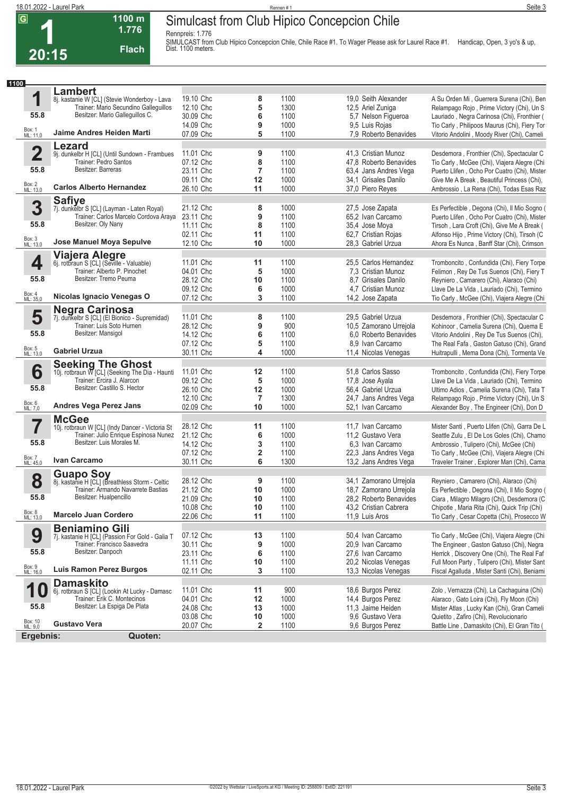**Rennpreis: 1.776**

**1100 m 1.776 Flach**



SIMULCAST from Club Hipico Concepcion Chile, Chile Race #1. To Wager Please ask for Laurel Race #1. Handicap, Open, 3 yo's & up,<br>Dist. 1100 meters.

| 1100                  |                                                                                            |                        |                |              |                                           |                                                                                            |
|-----------------------|--------------------------------------------------------------------------------------------|------------------------|----------------|--------------|-------------------------------------------|--------------------------------------------------------------------------------------------|
|                       | <b>Lambert</b>                                                                             |                        |                |              |                                           |                                                                                            |
| 1                     | 8j. kastanie W [CL] (Stevie Wonderboy - Lava                                               | 19.10 Chc              | 8              | 1100         | 19,0 Seith Alexander                      | A Su Orden Mi, Guerrera Surena (Chi), Ben                                                  |
|                       | Trainer: Mario Secundino Galleguillos                                                      | 12.10 Chc              | 5              | 1300         | 12,5 Ariel Zuniga                         | Relampago Rojo, Prime Victory (Chi), Un S                                                  |
| 55.8                  | Besitzer: Mario Gallequillos C.                                                            | 30.09 Chc              | 6              | 1100         | 5,7 Nelson Figueroa                       | Lauriado, Negra Carinosa (Chi), Fronthier (                                                |
|                       |                                                                                            | 14.09 Chc              | 9              | 1000         | 9,5 Luis Rojas                            | Tio Carly, Philipoos Maurus (Chi), Fiery Tor                                               |
| Box: 1<br>ML: 11,0    | Jaime Andres Heiden Marti                                                                  | 07.09 Chc              | 5              | 1100         | 7,9 Roberto Benavides                     | Vitorio Andolini, Moody River (Chi), Cameli                                                |
|                       | Lezard                                                                                     |                        |                |              |                                           |                                                                                            |
| $\mathbf 2$           | 9j. dunkelbr H [CL] (Until Sundown - Frambues                                              | 11.01 Chc              | 9              | 1100         | 41,3 Cristian Munoz                       | Desdemora, Fronthier (Chi), Spectacular C                                                  |
|                       | Trainer: Pedro Santos                                                                      | 07.12 Chc              | 8              | 1100         | 47,8 Roberto Benavides                    | Tio Carly, McGee (Chi), Viajera Alegre (Chi                                                |
| 55.8                  | Besitzer: Barreras                                                                         | 23.11 Chc              | 7              | 1100         | 63,4 Jans Andres Vega                     | Puerto Llifen, Ocho Por Cuatro (Chi), Mister                                               |
|                       |                                                                                            | 09.11 Chc              | 12             | 1000         | 34,1 Grisales Danilo                      | Give Me A Break, Beautiful Princess (Chi),                                                 |
| Box: 2<br>ML: 13,0    | <b>Carlos Alberto Hernandez</b>                                                            | 26.10 Chc              | 11             | 1000         | 37,0 Piero Reyes                          | Ambrossio, La Rena (Chi), Todas Esas Raz                                                   |
|                       | <b>Safiye</b>                                                                              |                        |                |              |                                           |                                                                                            |
| 3                     | 7j. dunkelbr S [CL] (Layman - Laten Royal)                                                 | 21.12 Chc              | 8              | 1000         | 27,5 Jose Zapata                          | Es Perfectible, Degona (Chi), Il Mio Sogno (                                               |
|                       | Trainer: Carlos Marcelo Cordova Áraya                                                      | 23.11 Chc              | 9              | 1100         | 65,2 Ivan Carcamo                         | Puerto Llifen, Ocho Por Cuatro (Chi), Mister                                               |
| 55.8                  | Besitzer: Oly Nany                                                                         | 11.11 Chc              | 8              | 1100         | 35,4 Jose Moya                            | Tirsoh, Lara Croft (Chi), Give Me A Break (                                                |
|                       |                                                                                            | 02.11 Chc              | 11             | 1100         | 62.7 Cristian Rojas                       | Alfonso Hijo, Prime Victory (Chi), Tirsoh (C                                               |
| Box: 3<br>ML: 13,0    | Jose Manuel Moya Sepulve                                                                   | 12.10 Chc              | 10             | 1000         | 28,3 Gabriel Urzua                        | Ahora Es Nunca, Banff Star (Chi), Crimson                                                  |
|                       |                                                                                            |                        |                |              |                                           |                                                                                            |
| 4                     |                                                                                            | 11.01 Chc              | 11             | 1100         | 25,5 Carlos Hernandez                     | Tromboncito, Confundida (Chi), Fiery Torpe                                                 |
|                       | Viajera Alegre<br>6j. rotbraun S [CL] (Seville - Valuable)<br>Trainer: Alberto P. Pinochet | 04.01 Chc              | 5              | 1000         | 7,3 Cristian Munoz                        | Felimon, Rey De Tus Suenos (Chi), Fiery T                                                  |
| 55.8                  | Besitzer: Tremo Peuma                                                                      | 28.12 Chc              | 10             | 1100         | 8.7 Grisales Danilo                       | Reyniero, Camarero (Chi), Alaraco (Chi)                                                    |
|                       |                                                                                            | 09.12 Chc              | 6              | 1000         | 4.7 Cristian Munoz                        | Llave De La Vida, Lauriado (Chi), Termino                                                  |
| Box: 4<br>ML: 35,0    | Nicolas Ignacio Venegas O                                                                  | 07.12 Chc              | 3              | 1100         | 14,2 Jose Zapata                          | Tio Carly, McGee (Chi), Viajera Alegre (Chi                                                |
|                       |                                                                                            |                        |                |              |                                           |                                                                                            |
| 5                     | <b>Negra Carinosa</b><br>7j. dunkelbr S [CL] (El Bionico - Supremidad)                     | 11.01 Chc              | 8              | 1100         | 29,5 Gabriel Urzua                        | Desdemora, Fronthier (Chi), Spectacular C                                                  |
|                       | Trainer: Luis Soto Hurnen                                                                  | 28.12 Chc              | 9              | 900          | 10,5 Zamorano Urrejola                    | Kohinoor, Camelia Surena (Chi), Quema E                                                    |
| 55.8                  | Besitzer: Mansigol                                                                         | 14.12 Chc              | 6              | 1100         | 6.0 Roberto Benavides                     | Vitorio Andolini, Rey De Tus Suenos (Chi),                                                 |
|                       |                                                                                            | 07.12 Chc              | 5              | 1100         | 8.9 Ivan Carcamo                          | The Real Fafa, Gaston Gatuso (Chi), Grand                                                  |
| Box: 5<br>ML: 13,0    | <b>Gabriel Urzua</b>                                                                       | 30.11 Chc              | 4              | 1000         | 11,4 Nicolas Venegas                      | Huitrapulli, Mema Dona (Chi), Tormenta Ve                                                  |
|                       |                                                                                            |                        |                |              |                                           |                                                                                            |
| 6                     | Seeking The Ghost<br>10j. rotbraun W [CL] (Seeking The Dia - Haunti                        | 11.01 Chc              | 12             | 1100         | 51,8 Carlos Sasso                         | Tromboncito, Confundida (Chi), Fiery Torpe                                                 |
|                       | Trainer: Ercira J. Alarcon                                                                 | 09.12 Chc              | 5              | 1000         | 17,8 Jose Ayala                           | Llave De La Vida, Lauriado (Chi), Termino                                                  |
| 55.8                  | Besitzer: Castillo S. Hector                                                               | 26.10 Chc              | 12             | 1000         | 56,4 Gabriel Urzua                        | Ultimo Adios, Camelia Surena (Chi), Tata T                                                 |
|                       |                                                                                            | 12.10 Chc              | $\overline{7}$ | 1300         | 24,7 Jans Andres Vega                     | Relampago Rojo, Prime Victory (Chi), Un S                                                  |
| Box: 6<br>ML: 7,0     | <b>Andres Vega Perez Jans</b>                                                              | 02.09 Chc              | 10             | 1000         | 52,1 Ivan Carcamo                         | Alexander Boy, The Engineer (Chi), Don D                                                   |
|                       | <b>McGee</b>                                                                               |                        |                |              |                                           |                                                                                            |
| 7                     | 10j. rotbraun W [CL] (Indy Dancer - Victoria St                                            | 28.12 Chc              | 11             | 1100         | 11,7 Ivan Carcamo                         | Mister Santi, Puerto Llifen (Chi), Garra De L                                              |
|                       | Trainer: Julio Enrique Espinosa Nunez                                                      | 21.12 Chc              | 6              | 1000         | 11,2 Gustavo Vera                         | Seattle Zulu, El De Los Goles (Chi), Chamo                                                 |
| 55.8                  | Besitzer: Luis Morales M.                                                                  | 14.12 Chc              | 3              | 1100         | 6.3 Ivan Carcamo                          | Ambrossio, Tulipero (Chi), McGee (Chi)                                                     |
| Box: 7<br>ML: 45,0    | Ivan Carcamo                                                                               | 07.12 Chc              | 2              | 1100         | 22,3 Jans Andres Vega                     | Tio Carly, McGee (Chi), Viajera Alegre (Chi                                                |
|                       |                                                                                            | 30.11 Chc              | 6              | 1300         | 13,2 Jans Andres Vega                     | Traveler Trainer, Explorer Man (Chi), Cama                                                 |
|                       | <b>Guapo Soy</b>                                                                           |                        |                |              |                                           |                                                                                            |
| 8                     | 8j. kastanie H [CL] (Breathless Storm - Celtic                                             | 28.12 Chc              | 9              | 1100         | 34,1 Zamorano Urrejola                    | Reyniero, Camarero (Chi), Alaraco (Chi)                                                    |
| 55.8                  | Trainer: Armando Navarrete Bastias<br>Besitzer: Hualpencillo                               | 21.12 Chc              | 10             | 1000         | 18,7 Zamorano Urrejola                    | Es Perfectible, Degona (Chi), Il Mio Sogno (                                               |
|                       |                                                                                            | 21.09 Chc              | 10             | 1100         | 28,2 Roberto Benavides                    | Ciara, Milagro Milagro (Chi), Desdemora (C                                                 |
| Box: 8<br>ML: 13,0    | <b>Marcelo Juan Cordero</b>                                                                | 10.08 Chc<br>22.06 Chc | 10<br>11       | 1100         | 43,2 Cristian Cabrera<br>11.9 Luis Aros   | Chipotle, Maria Rita (Chi), Quick Trip (Chi)                                               |
|                       |                                                                                            |                        |                | 1100         |                                           | Tio Carly, Cesar Copetta (Chi), Prosecco W                                                 |
|                       | <b>Beniamino Gili</b>                                                                      |                        |                |              |                                           |                                                                                            |
| 9                     | 7j. kastanie H [CL] (Passion For Gold - Galia T<br>Trainer: Francisco Saavedra             | 07.12 Chc<br>30.11 Chc | 13             | 1100         | 50,4 Ivan Carcamo                         | Tio Carly, McGee (Chi), Viajera Alegre (Chi                                                |
| 55.8                  | Besitzer: Danpoch                                                                          |                        | 9              | 1000         | 20,9 Ivan Carcamo                         | The Engineer, Gaston Gatuso (Chi), Negra                                                   |
|                       |                                                                                            | 23.11 Chc<br>11.11 Chc | 6              | 1100<br>1100 | 27,6 Ivan Carcamo<br>20,2 Nicolas Venegas | Herrick, Discovery One (Chi), The Real Faf<br>Full Moon Party, Tulipero (Chi), Mister Sant |
| Box: 9<br>ML: 16,0    | Luis Ramon Perez Burgos                                                                    | 02.11 Chc              | 10<br>3        | 1100         | 13,3 Nicolas Venegas                      | Fiscal Agalluda, Mister Santi (Chi), Beniami                                               |
|                       |                                                                                            |                        |                |              |                                           |                                                                                            |
| 1<br>$\boldsymbol{0}$ | <b>Damaskito</b>                                                                           | 11.01 Chc              | 11             | 900          | 18,6 Burgos Perez                         | Zolo, Vernazza (Chi), La Cachaguina (Chi)                                                  |
|                       | 6j. rotbraun S [CL] (Lookin At Lucky - Damasc<br>Trainer: Erik C. Montecinos               | 04.01 Chc              | 12             | 1000         | 14,4 Burgos Perez                         | Alaraco, Gato Loira (Chi), Fly Moon (Chi)                                                  |
| 55.8                  | Besitzer: La Espiga De Plata                                                               | 24.08 Chc              | 13             | 1000         | 11,3 Jaime Heiden                         | Mister Atlas, Lucky Kan (Chi), Gran Cameli                                                 |
|                       |                                                                                            | 03.08 Chc              | 10             | 1000         | 9.6 Gustavo Vera                          | Quietito, Zafiro (Chi), Revolucionario                                                     |
| Box: 10<br>ML: 9,0    | <b>Gustavo Vera</b>                                                                        | 20.07 Chc              | 2              | 1100         | 9,6 Burgos Perez                          | Battle Line, Damaskito (Chi), El Gran Tito (                                               |
| Ergebnis:             | Quoten:                                                                                    |                        |                |              |                                           |                                                                                            |
|                       |                                                                                            |                        |                |              |                                           |                                                                                            |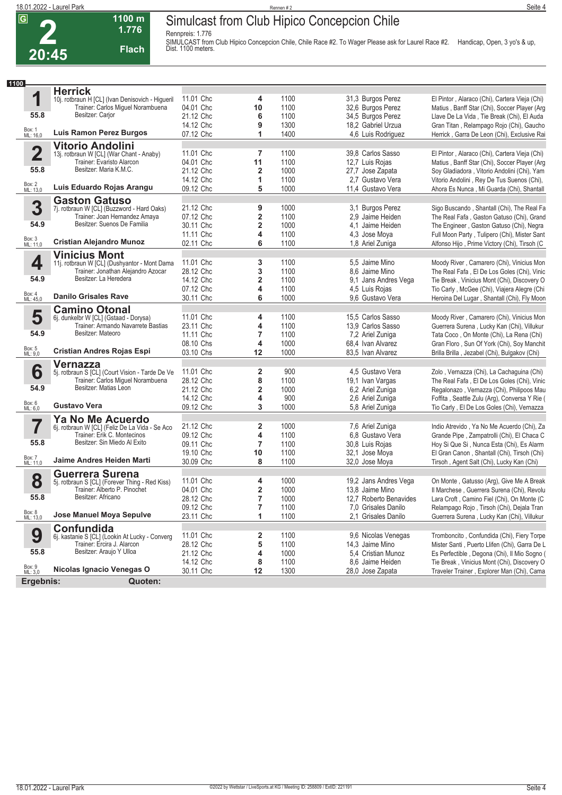**2**

#### **Simulcast from Club Hipico Concepcion Chile**

**Rennpreis: 1.776**



SIMULCAST from Club Hipico Concepcion Chile, Chile Race #2. To Wager Please ask for Laurel Race #2. Handicap, Open, 3 yo's & up,<br>Dist. 1100 meters.

| 1100               |                                                                             |                        |                         |              |                                      |                                                                                            |
|--------------------|-----------------------------------------------------------------------------|------------------------|-------------------------|--------------|--------------------------------------|--------------------------------------------------------------------------------------------|
|                    | <b>Herrick</b>                                                              |                        |                         |              |                                      |                                                                                            |
| 1                  | 10j. rotbraun H [CL] (Ivan Denisovich - Higueril                            | 11.01 Chc              | 4                       | 1100         | 31,3 Burgos Perez                    | El Pintor, Alaraco (Chi), Cartera Vieja (Chi)                                              |
|                    | Trainer: Carlos Miguel Norambuena                                           | 04.01 Chc              | 10                      | 1100         | 32,6 Burgos Perez                    | Matius, Banff Star (Chi), Soccer Player (Arg)                                              |
| 55.8               | Besitzer: Carjor                                                            | 21.12 Chc              | 6                       | 1100         | 34,5 Burgos Perez                    | Llave De La Vida, Tie Break (Chi), El Auda                                                 |
|                    |                                                                             | 14.12 Chc              | 9                       | 1300         | 18,2 Gabriel Urzua                   | Gran Titan, Relampago Rojo (Chi), Gaucho                                                   |
| Box: 1<br>ML: 16,0 | <b>Luis Ramon Perez Burgos</b>                                              | 07.12 Chc              | 1                       | 1400         | 4,6 Luis Rodriquez                   | Herrick, Garra De Leon (Chi), Exclusive Rai                                                |
|                    | <b>Vitorio Andolini</b>                                                     |                        |                         |              |                                      |                                                                                            |
| $\mathbf 2$        | 13j. rotbraun W [CL] (War Chant - Anaby)                                    | 11.01 Chc              | 7                       | 1100         | 39.8 Carlos Sasso                    | El Pintor, Alaraco (Chi), Cartera Vieja (Chi)                                              |
|                    | Trainer: Evaristo Alarcon                                                   | 04.01 Chc              | 11                      | 1100         | 12,7 Luis Rojas                      | Matius, Banff Star (Chi), Soccer Player (Arg                                               |
| 55.8               | Besitzer: Maria K.M.C.                                                      | 21.12 Chc              | $\overline{\mathbf{2}}$ | 1000         | 27,7 Jose Zapata                     | Soy Gladiadora, Vitorio Andolini (Chi), Yam                                                |
| Box: 2<br>ML: 13,0 | Luis Eduardo Rojas Arangu                                                   | 14.12 Chc              | 1                       | 1100         | 2.7 Gustavo Vera                     | Vitorio Andolini, Rey De Tus Suenos (Chi),                                                 |
|                    |                                                                             | 09.12 Chc              | 5                       | 1000         | 11,4 Gustavo Vera                    | Ahora Es Nunca, Mi Guarda (Chi), Shantall                                                  |
|                    | <b>Gaston Gatuso</b>                                                        |                        |                         |              |                                      |                                                                                            |
| 3                  | 7j. rotbraun W [CL] (Buzzword - Hard Oaks)                                  | 21.12 Chc              | 9                       | 1000         | 3,1 Burgos Perez                     | Sigo Buscando, Shantall (Chi), The Real Fa                                                 |
| 54.9               | Trainer: Joan Hernandez Amaya<br>Besitzer: Suenos De Familia                | 07.12 Chc              | $\mathbf 2$             | 1100         | 2,9 Jaime Heiden                     | The Real Fafa, Gaston Gatuso (Chi), Grand                                                  |
|                    |                                                                             | 30.11 Chc              | $\overline{\mathbf{2}}$ | 1000         | 4,1 Jaime Heiden                     | The Engineer, Gaston Gatuso (Chi), Negra                                                   |
| Box: 3<br>ML: 11,0 | <b>Cristian Alejandro Munoz</b>                                             | 11.11 Chc              | 4                       | 1100         | 4.3 Jose Moya                        | Full Moon Party, Tulipero (Chi), Mister Sant                                               |
|                    |                                                                             | 02.11 Chc              | 6                       | 1100         | 1,8 Ariel Zuniga                     | Alfonso Hijo, Prime Victory (Chi), Tirsoh (C                                               |
|                    | <b>Vinicius Mont</b>                                                        |                        |                         |              |                                      |                                                                                            |
| 4                  | 11j. rotbraun W [CL] (Dushyantor - Mont Dama                                | 11.01 Chc              | 3                       | 1100         | 5.5 Jaime Mino                       | Moody River, Camarero (Chi), Vinicius Mon                                                  |
| 54.9               | Trainer: Jonathan Alejandro Azocar<br>Besitzer: La Heredera                 | 28.12 Chc              | 3                       | 1100         | 8.6 Jaime Mino                       | The Real Fafa, El De Los Goles (Chi), Vinic                                                |
|                    |                                                                             | 14.12 Chc              | $\overline{2}$          | 1100<br>1100 | 9,1 Jans Andres Vega                 | Tie Break, Vinicius Mont (Chi), Discovery O                                                |
| Box: 4<br>ML: 45,0 | <b>Danilo Grisales Rave</b>                                                 | 07.12 Chc<br>30.11 Chc | 4<br>6                  | 1000         | 4,5 Luis Rojas<br>9,6 Gustavo Vera   | Tio Carly, McGee (Chi), Viajera Alegre (Chi<br>Heroina Del Lugar, Shantall (Chi), Fly Moon |
|                    |                                                                             |                        |                         |              |                                      |                                                                                            |
| 5                  | <b>Camino Otonal</b>                                                        | 11.01 Chc              | 4                       | 1100         | 15,5 Carlos Sasso                    | Moody River, Camarero (Chi), Vinicius Mon                                                  |
|                    | 6j. dunkelbr W [CL] (Gstaad - Dorysa)<br>Trainer: Armando Navarrete Bastias | 23.11 Chc              | $\overline{\mathbf{4}}$ | 1100         | 13,9 Carlos Sasso                    | Guerrera Surena, Lucky Kan (Chi), Villukur                                                 |
| 54.9               | Besitzer: Mateoro                                                           | 11.11 Chc              | 7                       | 1100         | 7,2 Ariel Zuniga                     | Tata Coco, On Monte (Chi), La Rena (Chi)                                                   |
|                    |                                                                             | 08.10 Chs              | 4                       | 1000         | 68,4 Ivan Alvarez                    | Gran Floro, Sun Of York (Chi), Soy Manchit                                                 |
| Box: 5<br>ML: 9,0  | <b>Cristian Andres Rojas Espi</b>                                           | 03.10 Chs              | 12                      | 1000         | 83,5 Ivan Alvarez                    | Brilla Brilla, Jezabel (Chi), Bulgakov (Chi)                                               |
|                    | <b>Vernazza</b>                                                             |                        |                         |              |                                      |                                                                                            |
| 6                  | 5j. rotbraun S [CL] (Court Vision - Tarde De Ve                             | 11.01 Chc              | $\overline{\mathbf{2}}$ | 900          | 4,5 Gustavo Vera                     | Zolo, Vernazza (Chi), La Cachaguina (Chi)                                                  |
|                    | Trainer: Carlos Miguel Norambuena                                           | 28.12 Chc              | 8                       | 1100         | 19,1 Ivan Vargas                     | The Real Fafa, El De Los Goles (Chi), Vinic                                                |
| 54.9               | Besitzer: Matias Leon                                                       | 21.12 Chc              | $\overline{\mathbf{2}}$ | 1000         | 6,2 Ariel Zuniga                     | Regalonazo, Vernazza (Chi), Philipoos Mau                                                  |
|                    |                                                                             | 14.12 Chc              | 4                       | 900          | 2.6 Ariel Zuniga                     | Foffita, Seattle Zulu (Arg), Conversa Y Rie (                                              |
| Box: 6<br>ML: 6,0  | <b>Gustavo Vera</b>                                                         | 09.12 Chc              | 3                       | 1000         | 5,8 Ariel Zuniga                     | Tio Carly, El De Los Goles (Chi), Vernazza                                                 |
|                    | Ya No Me Acuerdo                                                            |                        |                         |              |                                      |                                                                                            |
| 7                  | 6j. rotbraun W [CL] (Feliz De La Vida - Se Aco                              | 21.12 Chc              | $\overline{2}$          | 1000         | 7,6 Ariel Zuniga                     | Indio Atrevido, Ya No Me Acuerdo (Chi), Za                                                 |
|                    | Trainer: Erik C. Montecinos                                                 | 09.12 Chc              | 4                       | 1100         | 6,8 Gustavo Vera                     | Grande Pipe, Zampatrolli (Chi), El Chaca C                                                 |
| 55.8               | Besitzer: Sin Miedo Al Exito                                                | 09.11 Chc              | $\overline{7}$          | 1100         | 30,8 Luis Rojas                      | Hoy Si Que Si, Nunca Esta (Chi), Es Alarm                                                  |
|                    |                                                                             | 19.10 Chc              | 10                      | 1100         | 32,1 Jose Moya                       | El Gran Canon, Shantall (Chi), Tirsoh (Chi)                                                |
| Box: 7<br>ML: 11,0 | Jaime Andres Heiden Marti                                                   | 30.09 Chc              | 8                       | 1100         | 32,0 Jose Moya                       | Tirsoh, Agent Salt (Chi), Lucky Kan (Chi)                                                  |
|                    | <b>Guerrera Surena</b>                                                      |                        |                         |              |                                      |                                                                                            |
| 8                  | 5j. rotbraun S [CL] (Forever Thing - Red Kiss)                              | 11.01 Chc              | 4                       | 1000         | 19,2 Jans Andres Vega                | On Monte, Gatusso (Arg), Give Me A Break                                                   |
|                    | Trainer: Alberto P. Pinochet                                                | 04.01 Chc              | $\overline{\mathbf{2}}$ | 1000         | 13.8 Jaime Mino                      | Il Marchese, Guerrera Surena (Chi), Revolu                                                 |
| 55.8               | Besitzer: Africano                                                          | 28.12 Chc              | $\overline{7}$          | 1000         | 12,7 Roberto Benavides               | Lara Croft, Camino Fiel (Chi), On Monte (C                                                 |
|                    |                                                                             | 09.12 Chc              | 7                       | 1100         | 7.0 Grisales Danilo                  | Relampago Rojo, Tirsoh (Chi), Dejala Tran                                                  |
| Box: 8<br>ML: 13,0 | Jose Manuel Moya Sepulve                                                    | 23.11 Chc              | 1                       | 1100         | 2.1 Grisales Danilo                  | Guerrera Surena, Lucky Kan (Chi), Villukur                                                 |
|                    | Confundida                                                                  |                        |                         |              |                                      |                                                                                            |
| 9                  | 6j. kastanie S [CL] (Lookin At Lucky - Converg                              | 11.01 Chc              | 2                       | 1100         | 9.6 Nicolas Venegas                  | Tromboncito, Confundida (Chi), Fiery Torpe                                                 |
| 55.8               | Trainer: Ercira J. Alarcon<br>Besitzer: Araujo Y Ulloa                      | 28.12 Chc              | 5                       | 1100         | 14,3 Jaime Mino                      | Mister Santi, Puerto Llifen (Chi), Garra De L                                              |
|                    |                                                                             | 21.12 Chc              | 4                       | 1000         | 5,4 Cristian Munoz                   | Es Perfectible, Degona (Chi), Il Mio Sogno (                                               |
| Box: 9<br>ML: 3,0  | Nicolas Ignacio Venegas O                                                   | 14.12 Chc<br>30.11 Chc | 8<br>12                 | 1100<br>1300 | 8.6 Jaime Heiden<br>28,0 Jose Zapata | Tie Break, Vinicius Mont (Chi), Discovery O<br>Traveler Trainer, Explorer Man (Chi), Cama  |
|                    |                                                                             |                        |                         |              |                                      |                                                                                            |
| Ergebnis:          | Quoten:                                                                     |                        |                         |              |                                      |                                                                                            |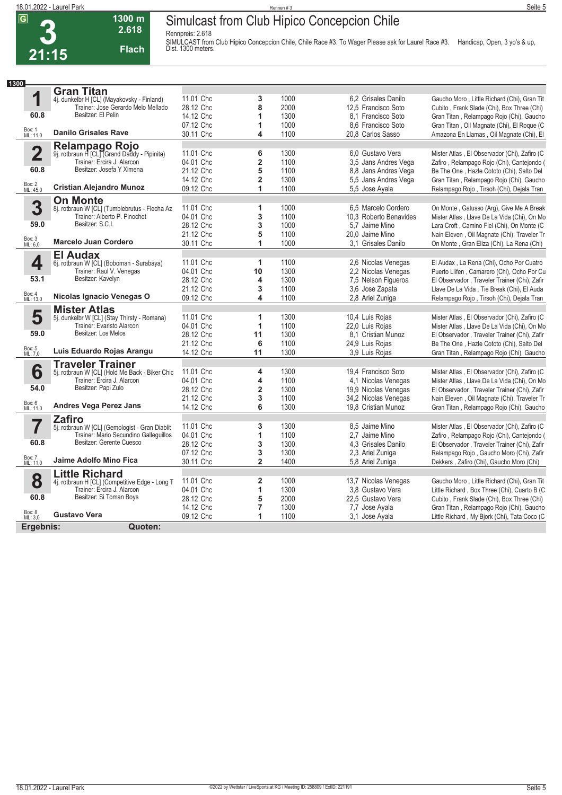**3**

#### **Simulcast from Club Hipico Concepcion Chile**

**Rennpreis: 2.618**



**1300 m 2.618** 

**Flach**

SIMULCAST from Club Hipico Concepcion Chile, Chile Race #3. To Wager Please ask for Laurel Race #3. Handicap, Open, 3 yo's & up,<br>Dist. 1300 meters.

| 1300               |                                                                           |           |                         |              |                        |                                              |
|--------------------|---------------------------------------------------------------------------|-----------|-------------------------|--------------|------------------------|----------------------------------------------|
|                    | <b>Gran Titan</b>                                                         |           |                         |              |                        |                                              |
| 1                  | 4j. dunkelbr H [CL] (Mayakovsky - Finland)                                | 11.01 Chc | 3                       | 1000         | 6.2 Grisales Danilo    | Gaucho Moro, Little Richard (Chi), Gran Tit  |
|                    | Trainer: Jose Gerardo Melo Mellado                                        | 28.12 Chc | 8                       | 2000         | 12,5 Francisco Soto    | Cubito, Frank Slade (Chi), Box Three (Chi)   |
| 60.8               | Besitzer: El Pelin                                                        | 14.12 Chc | 1                       | 1300         | 8.1 Francisco Soto     | Gran Titan, Relampago Rojo (Chi), Gaucho     |
|                    |                                                                           | 07.12 Chc | 1                       | 1000         | 8.6 Francisco Soto     | Gran Titan, Oil Magnate (Chi), El Roque (C   |
| Box: 1<br>ML: 11,0 | <b>Danilo Grisales Rave</b>                                               | 30.11 Chc | 4                       | 1100         | 20.8 Carlos Sasso      | Amazona En Llamas, Oil Magnate (Chi), El     |
|                    |                                                                           |           |                         |              |                        |                                              |
| $\overline{2}$     | Relampago Rojo<br>9j. rotbraun H [CL] (Grand Daddy - Pipinita)            | 11.01 Chc | 6                       | 1300         | 6.0 Gustavo Vera       | Mister Atlas, El Observador (Chi), Zafiro (C |
|                    | Trainer: Ercira J. Alarcon                                                | 04.01 Chc | $\overline{\mathbf{2}}$ | 1100         | 3,5 Jans Andres Vega   | Zafiro, Relampago Rojo (Chi), Cantejondo (   |
| 60.8               | Besitzer: Josefa Y Ximena                                                 | 21.12 Chc | 5                       | 1100         | 8.8 Jans Andres Vega   | Be The One, Hazle Cototo (Chi), Salto Del    |
|                    |                                                                           | 14.12 Chc | $\overline{2}$          | 1300         | 5.5 Jans Andres Vega   |                                              |
| Box: 2<br>ML: 45,0 | <b>Cristian Alejandro Munoz</b>                                           | 09.12 Chc | 1                       | 1100         | 5.5 Jose Ayala         | Gran Titan, Relampago Rojo (Chi), Gaucho     |
|                    |                                                                           |           |                         |              |                        | Relampago Rojo, Tirsoh (Chi), Dejala Tran    |
|                    | <b>On Monte</b>                                                           |           |                         |              |                        |                                              |
| 3                  | 8j. rotbraun W [CL] (Tumblebrutus - Flecha Az                             | 11.01 Chc | 1                       | 1000         | 6.5 Marcelo Cordero    | On Monte, Gatusso (Arg), Give Me A Break     |
|                    | Trainer: Alberto P. Pinochet                                              | 04.01 Chc | 3                       | 1100         | 10.3 Roberto Benavides | Mister Atlas, Llave De La Vida (Chi), On Mo  |
| 59.0               | Besitzer: S.C.I.                                                          | 28.12 Chc | 3                       | 1000         | 5.7 Jaime Mino         | Lara Croft, Camino Fiel (Chi), On Monte (C)  |
|                    |                                                                           | 21.12 Chc | 5                       | 1100         | 20,0 Jaime Mino        | Nain Eleven, Oil Magnate (Chi), Traveler Tr  |
| Box: 3<br>ML: 6,0  | <b>Marcelo Juan Cordero</b>                                               | 30.11 Chc | 1                       | 1000         | 3.1 Grisales Danilo    | On Monte, Gran Eliza (Chi), La Rena (Chi)    |
|                    | <b>El Audax</b>                                                           |           |                         |              |                        |                                              |
| 4                  | 6j. rotbraun W [CL] (Boboman - Surabaya)                                  | 11.01 Chc | 1                       | 1100         | 2.6 Nicolas Venegas    | El Audax, La Rena (Chi), Ocho Por Cuatro     |
|                    | Trainer: Raul V. Venegas                                                  | 04.01 Chc | 10                      | 1300         | 2,2 Nicolas Venegas    | Puerto Llifen, Camarero (Chi), Ocho Por Cu   |
| 53.1               | Besitzer: Kavelyn                                                         | 28.12 Chc | 4                       | 1300         | 7,5 Nelson Figueroa    | El Observador, Traveler Trainer (Chi), Zafir |
|                    |                                                                           | 21.12 Chc | 3                       | 1100         | 3.6 Jose Zapata        | Llave De La Vida, Tie Break (Chi), El Auda   |
| Box: 4<br>ML: 13,0 | Nicolas Ignacio Venegas O                                                 | 09.12 Chc | 4                       | 1100         | 2,8 Ariel Zuniga       | Relampago Rojo, Tirsoh (Chi), Dejala Tran    |
|                    |                                                                           |           |                         |              |                        |                                              |
| 5                  | <b>Mister Atlas</b>                                                       | 11.01 Chc | 1                       | 1300         | 10,4 Luis Rojas        | Mister Atlas, El Observador (Chi), Zafiro (C |
|                    | 5j. dunkelbr W [CL] (Stay Thirsty - Romana)<br>Trainer: Evaristo Alarcon  | 04.01 Chc | 1                       | 1100         | 22,0 Luis Rojas        | Mister Atlas, Llave De La Vida (Chi), On Mo  |
| 59.0               | Besitzer: Los Melos                                                       |           |                         |              |                        |                                              |
|                    |                                                                           | 28.12 Chc | 11                      | 1300         | 8.1 Cristian Munoz     | El Observador, Traveler Trainer (Chi), Zafir |
| Box: 5<br>ML: 7,0  | Luis Eduardo Rojas Arangu                                                 | 21.12 Chc | 6                       | 1100<br>1300 | 24,9 Luis Rojas        | Be The One, Hazle Cototo (Chi), Salto Del    |
|                    |                                                                           | 14.12 Chc | 11                      |              | 3,9 Luis Rojas         | Gran Titan, Relampago Rojo (Chi), Gaucho     |
|                    | <b>Traveler Trainer</b><br>5j. rotbraun W [CL] (Hold Me Back - Biker Chic |           |                         |              |                        |                                              |
| 6                  |                                                                           | 11.01 Chc | 4                       | 1300         | 19,4 Francisco Soto    | Mister Atlas, El Observador (Chi), Zafiro (C |
|                    | Trainer: Ercira J. Alarcon                                                | 04.01 Chc | 4                       | 1100         | 4,1 Nicolas Venegas    | Mister Atlas, Llave De La Vida (Chi), On Mo  |
| 54.0               | Besitzer: Papi Zulo                                                       | 28.12 Chc | $\overline{2}$          | 1300         | 19,9 Nicolas Venegas   | El Observador, Traveler Trainer (Chi), Zafir |
|                    |                                                                           | 21.12 Chc | 3                       | 1100         | 34,2 Nicolas Venegas   | Nain Eleven, Oil Magnate (Chi), Traveler Tr  |
| Box: 6<br>ML: 11,0 | <b>Andres Vega Perez Jans</b>                                             | 14.12 Chc | 6                       | 1300         | 19,8 Cristian Munoz    | Gran Titan, Relampago Rojo (Chi), Gaucho     |
|                    | <b>Zafiro</b>                                                             |           |                         |              |                        |                                              |
| 7                  | 5j. rotbraun W [CL] (Gemologist - Gran Diablit                            | 11.01 Chc | 3                       | 1300         | 8,5 Jaime Mino         | Mister Atlas, El Observador (Chi), Zafiro (C |
|                    | Trainer: Mario Secundino Gallequillos                                     | 04.01 Chc | 1                       | 1100         | 2.7 Jaime Mino         | Zafiro, Relampago Rojo (Chi), Cantejondo (   |
| 60.8               | Besitzer: Gerente Cuesco                                                  | 28.12 Chc | 3                       | 1300         | 4.3 Grisales Danilo    | El Observador, Traveler Trainer (Chi), Zafir |
|                    |                                                                           | 07.12 Chc | 3                       | 1300         | 2,3 Ariel Zuniga       | Relampago Rojo, Gaucho Moro (Chi), Zafir     |
| Box: 7<br>ML: 11,0 | Jaime Adolfo Mino Fica                                                    | 30.11 Chc | $\overline{2}$          | 1400         | 5,8 Ariel Zuniga       | Dekkers, Zafiro (Chi), Gaucho Moro (Chi)     |
|                    | <b>Little Richard</b>                                                     |           |                         |              |                        |                                              |
| 8                  | 4j. rotbraun H [CL] (Competitive Edge - Long T                            | 11.01 Chc | 2                       | 1000         | 13,7 Nicolas Venegas   | Gaucho Moro, Little Richard (Chi), Gran Tit  |
|                    | Trainer: Ercira J. Alarcon                                                | 04.01 Chc | 1                       | 1300         | 3.8 Gustavo Vera       | Little Richard, Box Three (Chi), Cuarto B (C |
| 60.8               | Besitzer: Si Toman Boys                                                   | 28.12 Chc | 5                       | 2000         | 22.5 Gustavo Vera      | Cubito, Frank Slade (Chi), Box Three (Chi)   |
|                    |                                                                           | 14.12 Chc | $\overline{7}$          | 1300         | 7,7 Jose Ayala         | Gran Titan, Relampago Rojo (Chi), Gaucho     |
| Box: 8<br>ML: 3,0  | <b>Gustavo Vera</b>                                                       | 09.12 Chc | 1                       | 1100         | 3.1 Jose Ayala         |                                              |
|                    |                                                                           |           |                         |              |                        | Little Richard, My Bjork (Chi), Tata Coco (C |
| Ergebnis:          | Quoten:                                                                   |           |                         |              |                        |                                              |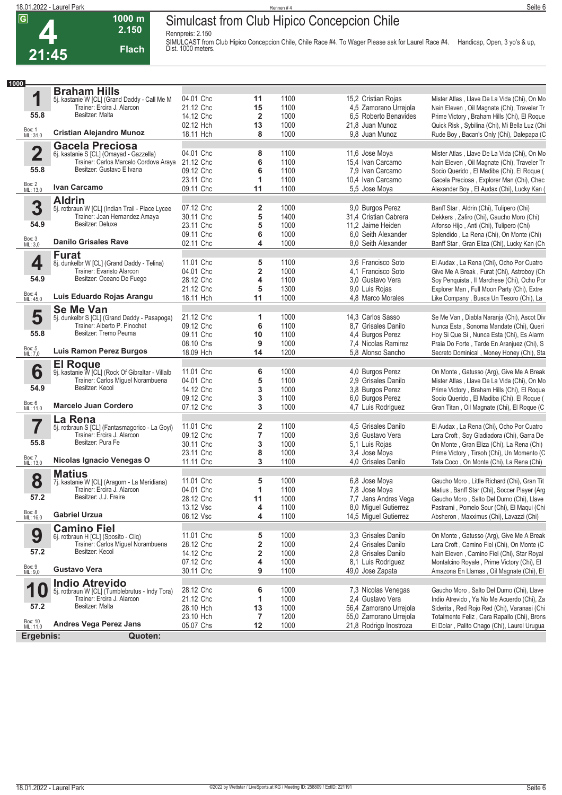**Rennpreis: 2.150**

**1000 m 2.150 Flach**



SIMULCAST from Club Hipico Concepcion Chile, Chile Race #4. To Wager Please ask for Laurel Race #4. Handicap, Open, 3 yo's & up,<br>Dist. 1000 meters.

| 1000                    |                                                                              |                        |                |              |                                    |                                                                                         |
|-------------------------|------------------------------------------------------------------------------|------------------------|----------------|--------------|------------------------------------|-----------------------------------------------------------------------------------------|
|                         | <b>Braham Hills</b>                                                          |                        |                |              |                                    |                                                                                         |
| 1                       | 5j. kastanie W [CL] (Grand Daddy - Call Me M                                 | 04.01 Chc              | 11             | 1100         | 15,2 Cristian Rojas                | Mister Atlas, Llave De La Vida (Chi), On Mo                                             |
|                         | Trainer: Ercira J. Alarcon                                                   | 21.12 Chc              | 15             | 1100         | 4,5 Zamorano Urrejola              | Nain Eleven, Oil Magnate (Chi), Traveler Tr                                             |
| 55.8                    | Besitzer: Malta                                                              | 14.12 Chc              | $\overline{2}$ | 1000         | 6,5 Roberto Benavides              | Prime Victory, Braham Hills (Chi), El Roque                                             |
|                         |                                                                              | 02.12 Hch              | 13             | 1000         | 21,8 Juan Munoz                    | Quick Risk, Sybilina (Chi), Mi Bella Luz (Chi                                           |
| Box: 1<br>ML: 31,0      | <b>Cristian Alejandro Munoz</b>                                              | 18.11 Hch              | 8              | 1000         | 9.8 Juan Munoz                     | Rude Boy, Bacan's Only (Chi), Dalepapa (C                                               |
|                         | <b>Gacela Preciosa</b>                                                       |                        |                |              |                                    |                                                                                         |
| $\overline{\mathbf{2}}$ | 6j. kastanie S [CL] (Omayad - Gazzella)                                      | 04.01 Chc              | 8              | 1100         | 11,6 Jose Moya                     | Mister Atlas, Llave De La Vida (Chi), On Mo                                             |
|                         | Trainer: Carlos Marcelo Cordova Araya                                        | 21.12 Chc              | 6              | 1100         | 15,4 Ivan Carcamo                  | Nain Eleven, Oil Magnate (Chi), Traveler Tr                                             |
| 55.8                    | Besitzer: Gustavo E Ivana                                                    | 09.12 Chc              | 6              | 1100         | 7,9 Ivan Carcamo                   | Socio Querido, El Madiba (Chi), El Roque (                                              |
|                         |                                                                              | 23.11 Chc              | 1              | 1100         | 10,4 Ivan Carcamo                  | Gacela Preciosa, Explorer Man (Chi), Chec                                               |
| Box: 2<br>ML: 13,0      | Ivan Carcamo                                                                 | 09.11 Chc              | 11             | 1100         | 5,5 Jose Moya                      | Alexander Boy, El Audax (Chi), Lucky Kan (                                              |
|                         | <b>Aldrin</b>                                                                |                        |                |              |                                    |                                                                                         |
| 3                       | 5j. rotbraun W [CL] (Indian Trail - Place Lycee                              | 07.12 Chc              | 2              | 1000         | 9.0 Burgos Perez                   | Banff Star, Aldrin (Chi), Tulipero (Chi)                                                |
|                         | Trainer: Joan Hernandez Amaya                                                | 30.11 Chc              | 5              | 1400         | 31,4 Cristian Cabrera              | Dekkers, Zafiro (Chi), Gaucho Moro (Chi)                                                |
| 54.9                    | Besitzer: Deluxe                                                             | 23.11 Chc              | 5              | 1000         | 11,2 Jaime Heiden                  | Alfonso Hijo, Anti (Chi), Tulipero (Chi)                                                |
|                         |                                                                              | 09.11 Chc              | 6              | 1000         | 6.0 Seith Alexander                | Splendido, La Rena (Chi), On Monte (Chi)                                                |
| Box: 3<br>ML: 3,0       | <b>Danilo Grisales Rave</b>                                                  | 02.11 Chc              | 4              | 1000         | 8.0 Seith Alexander                | Banff Star, Gran Eliza (Chi), Lucky Kan (Ch                                             |
|                         | <b>Furat</b>                                                                 |                        |                |              |                                    |                                                                                         |
| 4                       | 8j. dunkelbr W [CL] (Grand Daddy - Telina)                                   | 11.01 Chc              | 5              | 1100         | 3.6 Francisco Soto                 | El Audax, La Rena (Chi), Ocho Por Cuatro                                                |
|                         | Trainer: Evaristo Alarcon                                                    | 04.01 Chc              | 2              | 1000         | 4.1 Francisco Soto                 | Give Me A Break, Furat (Chi), Astroboy (Ch                                              |
| 54.9                    | Besitzer: Oceano De Fuego                                                    | 28.12 Chc              | 4              | 1100         | 3.0 Gustavo Vera                   | Soy Penquista, Il Marchese (Chi), Ocho Por                                              |
|                         |                                                                              | 21.12 Chc              | 5              | 1300         | 9,0 Luis Rojas                     | Explorer Man, Full Moon Party (Chi), Extre                                              |
| Box: 4<br>ML: 45,0      | Luis Eduardo Rojas Arangu                                                    | 18.11 Hch              | 11             | 1000         | 4,8 Marco Morales                  | Like Company, Busca Un Tesoro (Chi), La                                                 |
|                         | <b>Se Me Van</b>                                                             |                        |                |              |                                    |                                                                                         |
| 5                       | 5j. dunkelbr S [CL] (Grand Daddy - Pasapoga)                                 | 21.12 Chc              | 1              | 1000         | 14.3 Carlos Sasso                  | Se Me Van, Diabla Naranja (Chi), Ascot Div                                              |
|                         | Trainer: Alberto P. Pinochet                                                 | 09.12 Chc              | 6              | 1100         | 8.7 Grisales Danilo                | Nunca Esta, Sonoma Mandate (Chi), Queri                                                 |
| 55.8                    | Besitzer: Tremo Peuma                                                        | 09.11 Chc              | 10             | 1100         | 4,4 Burgos Perez                   | Hoy Si Que Si, Nunca Esta (Chi), Es Alarm                                               |
|                         | <b>Luis Ramon Perez Burgos</b>                                               | 08.10 Chs              | 9              | 1000         | 7,4 Nicolas Ramirez                | Praia Do Forte, Tarde En Aranjuez (Chi), S                                              |
| Box: 5<br>ML: 7,0       |                                                                              | 18.09 Hch              | 14             | 1200         | 5.8 Alonso Sancho                  | Secreto Dominical, Money Honey (Chi), Sta                                               |
|                         | <b>El Roque</b>                                                              |                        |                |              |                                    |                                                                                         |
| 6                       | 9j. kastanie W [CL] (Rock Of Gibraltar - Villalb                             | 11.01 Chc              | 6              | 1000         | 4,0 Burgos Perez                   | On Monte, Gatusso (Arg), Give Me A Break                                                |
| 54.9                    | Trainer: Carlos Miguel Norambuena<br>Besitzer: Kecol                         | 04.01 Chc              | 5              | 1100         | 2.9 Grisales Danilo                | Mister Atlas, Llave De La Vida (Chi), On Mo                                             |
|                         |                                                                              | 14.12 Chc              | 3              | 1000         | 3,8 Burgos Perez                   | Prime Victory, Braham Hills (Chi), El Roque                                             |
| Box: 6<br>ML: 11,0      | <b>Marcelo Juan Cordero</b>                                                  | 09.12 Chc              | 3<br>3         | 1100<br>1000 | 6,0 Burgos Perez                   | Socio Querido, El Madiba (Chi), El Roque (                                              |
|                         |                                                                              | 07.12 Chc              |                |              | 4,7 Luis Rodriguez                 | Gran Titan, Oil Magnate (Chi), El Roque (C                                              |
|                         | La Rena                                                                      |                        |                |              |                                    |                                                                                         |
| 7                       | 5j. rotbraun S [CL] (Fantasmagorico - La Goyi)<br>Trainer: Ercira J. Alarcon | 11.01 Chc              | 2              | 1100<br>1000 | 4,5 Grisales Danilo                | El Audax, La Rena (Chi), Ocho Por Cuatro                                                |
| 55.8                    | Besitzer: Pura Fe                                                            | 09.12 Chc<br>30.11 Chc | 7<br>3         | 1000         | 3,6 Gustavo Vera<br>5,1 Luis Rojas | Lara Croft, Soy Gladiadora (Chi), Garra De                                              |
|                         |                                                                              | 23.11 Chc              | 8              | 1000         | 3,4 Jose Moya                      | On Monte, Gran Eliza (Chi), La Rena (Chi)<br>Prime Victory, Tirsoh (Chi), Un Momento (C |
| Box: 7<br>ML: 13,0      | Nicolas Ignacio Venegas O                                                    | 11.11 Chc              | 3              | 1100         | 4.0 Grisales Danilo                | Tata Coco, On Monte (Chi), La Rena (Chi)                                                |
|                         |                                                                              |                        |                |              |                                    |                                                                                         |
| 8                       | <b>Matius</b>                                                                | 11.01 Chc              | 5              | 1000         | 6.8 Jose Moya                      | Gaucho Moro, Little Richard (Chi), Gran Tit                                             |
|                         | 7j. kastanie W [CL] (Aragorn - La Meridiana)<br>Trainer: Ercira J. Alarcon   | 04.01 Chc              | 1              | 1100         | 7,8 Jose Moya                      | Matius, Banff Star (Chi), Soccer Player (Arg                                            |
| 57.2                    | Besitzer: J.J. Freire                                                        | 28.12 Chc              | 11             | 1000         | 7,7 Jans Andres Vega               | Gaucho Moro, Salto Del Dumo (Chi), Llave                                                |
|                         |                                                                              | 13.12 Vsc              | 4              | 1100         | 8,0 Miguel Gutierrez               | Pastrami, Pomelo Sour (Chi), El Maqui (Chi                                              |
| Box: 8<br>ML: 16,0      | <b>Gabriel Urzua</b>                                                         | 08.12 Vsc              | 4              | 1100         | 14,5 Miquel Gutierrez              | Absheron, Maxximus (Chi), Lavazzi (Chi)                                                 |
|                         | <b>Camino Fiel</b>                                                           |                        |                |              |                                    |                                                                                         |
| 9                       | 6j. rotbraun H [CL] (Sposito - Cliq)                                         | 11.01 Chc              | 5              | 1000         | 3.3 Grisales Danilo                | On Monte, Gatusso (Arg), Give Me A Break                                                |
|                         | Trainer: Carlos Miguel Norambuena                                            | 28.12 Chc              | 2              | 1000         | 2.4 Grisales Danilo                | Lara Croft, Camino Fiel (Chi), On Monte (C                                              |
| 57.2                    | Besitzer: Kecol                                                              | 14.12 Chc              | 2              | 1000         | 2.8 Grisales Danilo                | Nain Eleven, Camino Fiel (Chi), Star Royal                                              |
|                         |                                                                              | 07.12 Chc              | 4              | 1000         | 8,1 Luis Rodriguez                 | Montalcino Royale, Prime Victory (Chi), El                                              |
| Box: 9<br>ML: 9,0       | <b>Gustavo Vera</b>                                                          | 30.11 Chc              | 9              | 1100         | 49.0 Jose Zapata                   | Amazona En Llamas, Oil Magnate (Chi), El                                                |
|                         | <b>Indio Atrevido</b>                                                        |                        |                |              |                                    |                                                                                         |
| 1<br>$\boldsymbol{0}$   | 5j. rotbraun W [CL] (Tumblebrutus - Indy Tora)                               | 28.12 Chc              | 6              | 1000         | 7,3 Nicolas Venegas                | Gaucho Moro, Salto Del Dumo (Chi), Llave                                                |
|                         | Trainer: Ercira J. Alarcon                                                   | 21.12 Chc              | 1              | 1000         | 2,4 Gustavo Vera                   | Indio Atrevido, Ya No Me Acuerdo (Chi), Za                                              |
| 57.2                    | Besitzer: Malta                                                              | 28.10 Hch              | 13             | 1000         | 56,4 Zamorano Urrejola             | Siderita, Red Rojo Red (Chi), Varanasi (Chi                                             |
|                         |                                                                              | 23.10 Hch              | 7              | 1200         | 55,0 Zamorano Urrejola             | Totalmente Feliz, Cara Rapallo (Chi), Brons                                             |
| Box: 10<br>ML: 11,0     | <b>Andres Vega Perez Jans</b>                                                | 05.07 Chs              | 12             | 1000         | 21,8 Rodrigo Inostroza             | El Dolar, Palito Chago (Chi), Laurel Urugua                                             |
| Ergebnis:               | Quoten:                                                                      |                        |                |              |                                    |                                                                                         |
|                         |                                                                              |                        |                |              |                                    |                                                                                         |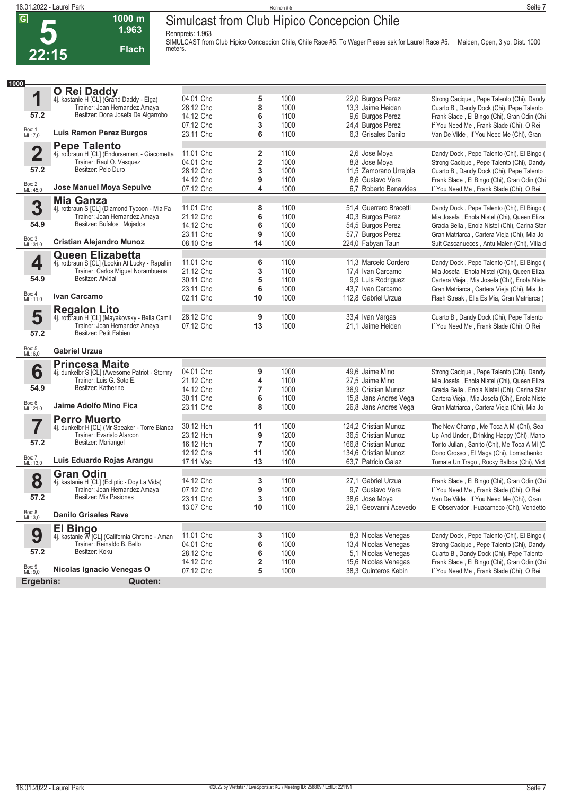**5**

#### **Simulcast from Club Hipico Concepcion Chile**

**Rennpreis: 1.963**



**1000 m**

**SIMULCAST from Club Hipico Concepcion Chile, Chile Race #5. To Wager Please ask for Laurel Race #5. Maiden, Open, 3 yo, Dist. 1000 meters.** 

| 1000               |                                                                             |                        |                              |              |                                             |                                                                                          |
|--------------------|-----------------------------------------------------------------------------|------------------------|------------------------------|--------------|---------------------------------------------|------------------------------------------------------------------------------------------|
|                    | O Rei Daddy                                                                 |                        |                              |              |                                             |                                                                                          |
| 1                  | 4j. kastanie H [CL] (Grand Daddy - Elga)                                    | 04.01 Chc              | 5                            | 1000         | 22,0 Burgos Perez                           | Strong Cacique, Pepe Talento (Chi), Dandy                                                |
| 57.2               | Trainer: Joan Hernandez Amaya<br>Besitzer: Dona Josefa De Algarrobo         | 28.12 Chc              | 8                            | 1000         | 13,3 Jaime Heiden                           | Cuarto B, Dandy Dock (Chi), Pepe Talento                                                 |
|                    |                                                                             | 14.12 Chc              | 6                            | 1100         | 9,6 Burgos Perez                            | Frank Slade, El Bingo (Chi), Gran Odin (Chi                                              |
| Box: 1<br>ML: 7,0  | <b>Luis Ramon Perez Burgos</b>                                              | 07.12 Chc<br>23.11 Chc | 3<br>6                       | 1000<br>1100 | 24,4 Burgos Perez<br>6.3 Grisales Danilo    | If You Need Me, Frank Slade (Chi), O Rei                                                 |
|                    |                                                                             |                        |                              |              |                                             | Van De Vilde, If You Need Me (Chi), Gran                                                 |
|                    | <b>Pepe Talento</b>                                                         | 11.01 Chc              |                              | 1100         |                                             |                                                                                          |
| $\mathbf 2$        | 4j. rotbraun H [CL] (Endorsement - Giacometta<br>Trainer: Raul O. Vasquez   | 04.01 Chc              | 2<br>$\overline{\mathbf{2}}$ | 1000         | 2,6 Jose Moya<br>8,8 Jose Moya              | Dandy Dock, Pepe Talento (Chi), El Bingo (                                               |
| 57.2               | Besitzer: Pelo Duro                                                         | 28.12 Chc              | 3                            | 1000         | 11,5 Zamorano Urrejola                      | Strong Cacique, Pepe Talento (Chi), Dandy<br>Cuarto B, Dandy Dock (Chi), Pepe Talento    |
|                    |                                                                             | 14.12 Chc              | 9                            | 1100         | 8.6 Gustavo Vera                            | Frank Slade, El Bingo (Chi), Gran Odin (Chi                                              |
| Box: 2<br>ML: 45,0 | Jose Manuel Moya Sepulve                                                    | 07.12 Chc              | 4                            | 1000         | 6,7 Roberto Benavides                       | If You Need Me, Frank Slade (Chi), O Rei                                                 |
|                    |                                                                             |                        |                              |              |                                             |                                                                                          |
| 3                  | <b>Mia Ganza</b><br>4j. rotbraun S [CL] (Diamond Tycoon - Mia Fa            | 11.01 Chc              | 8                            | 1100         | 51,4 Guerrero Bracetti                      | Dandy Dock, Pepe Talento (Chi), El Bingo (                                               |
|                    | Trainer: Joan Hernandez Amaya                                               | 21.12 Chc              | 6                            | 1100         | 40,3 Burgos Perez                           | Mia Josefa, Enola Nistel (Chi), Queen Eliza                                              |
| 54.9               | Besitzer: Bufalos Mojados                                                   | 14.12 Chc              | 6                            | 1000         | 54,5 Burgos Perez                           | Gracia Bella, Enola Nistel (Chi), Carina Star                                            |
|                    |                                                                             | 23.11 Chc              | 9                            | 1000         | 57,7 Burgos Perez                           | Gran Matriarca, Cartera Vieja (Chi), Mia Jo                                              |
| Box: 3<br>ML: 31,0 | <b>Cristian Alejandro Munoz</b>                                             | 08.10 Chs              | 14                           | 1000         | 224,0 Fabyan Taun                           | Suit Cascanueces, Antu Malen (Chi), Villa d                                              |
|                    | <b>Queen Elizabetta</b>                                                     |                        |                              |              |                                             |                                                                                          |
| 4                  | 4j. rotbraun S [CL] (Lookin At Lucky - Rapallin                             | 11.01 Chc              | 6                            | 1100         | 11,3 Marcelo Cordero                        | Dandy Dock, Pepe Talento (Chi), El Bingo (                                               |
|                    | Trainer: Carlos Miguel Norambuena                                           | 21.12 Chc              | 3                            | 1100         | 17,4 Ivan Carcamo                           | Mia Josefa, Enola Nistel (Chi), Queen Eliza                                              |
| 54.9               | Besitzer: Alvidal                                                           | 30.11 Chc              | 5                            | 1100         | 9,9 Luis Rodriguez                          | Cartera Vieja, Mia Josefa (Chi), Enola Niste                                             |
|                    |                                                                             | 23.11 Chc              | 6                            | 1000         | 43,7 Ivan Carcamo                           | Gran Matriarca, Cartera Vieja (Chi), Mia Jo                                              |
| Box: 4<br>ML: 11,0 | Ivan Carcamo                                                                | 02.11 Chc              | 10                           | 1000         | 112,8 Gabriel Urzua                         | Flash Streak, Ella Es Mia, Gran Matriarca (                                              |
|                    | <b>Regalon Lito</b>                                                         |                        |                              |              |                                             |                                                                                          |
| 5                  | 4j. rotbraun H [CL] (Mayakovsky - Bella Camil                               | 28.12 Chc              | 9                            | 1000         | 33,4 Ivan Vargas                            | Cuarto B, Dandy Dock (Chi), Pepe Talento                                                 |
| 57.2               | Trainer: Joan Hernandez Amaya<br>Besitzer: Petit Fabien                     | 07.12 Chc              | 13                           | 1000         | 21,1 Jaime Heiden                           | If You Need Me, Frank Slade (Chi), O Rei                                                 |
| Box: 5<br>ML: 6,0  | <b>Gabriel Urzua</b>                                                        |                        |                              |              |                                             |                                                                                          |
|                    |                                                                             |                        |                              |              |                                             |                                                                                          |
|                    | <b>Princesa Maite</b>                                                       | 04.01 Chc              |                              | 1000         |                                             |                                                                                          |
| 6                  | 4j. dunkelbr S [CL] (Awesome Patriot - Stormy<br>Trainer: Luis G. Soto E.   | 21.12 Chc              | 9<br>4                       | 1100         | 49,6 Jaime Mino<br>27,5 Jaime Mino          | Strong Cacique, Pepe Talento (Chi), Dandy<br>Mia Josefa, Enola Nistel (Chi), Queen Eliza |
| 54.9               | Besitzer: Katherine                                                         | 14.12 Chc              | 7                            | 1000         | 36,9 Cristian Munoz                         | Gracia Bella, Enola Nistel (Chi), Carina Star                                            |
|                    |                                                                             | 30.11 Chc              | 6                            | 1100         | 15,8 Jans Andres Vega                       | Cartera Vieja, Mia Josefa (Chi), Enola Niste                                             |
| Box: 6<br>ML: 21,0 | Jaime Adolfo Mino Fica                                                      | 23.11 Chc              | 8                            | 1000         | 26,8 Jans Andres Vega                       | Gran Matriarca, Cartera Vieja (Chi), Mia Jo                                              |
|                    | <b>Perro Muerto</b>                                                         |                        |                              |              |                                             |                                                                                          |
| 7                  | 4j. dunkelbr H [CL] (Mr Speaker - Torre Blanca                              | 30.12 Hch              | 11                           | 1000         | 124,2 Cristian Munoz                        | The New Champ, Me Toca A Mi (Chi), Sea                                                   |
|                    | Trainer: Evaristo Alarcon                                                   | 23.12 Hch              | 9                            | 1200         | 36,5 Cristian Munoz                         | Up And Under, Drinking Happy (Chi), Mano                                                 |
| 57.2               | Besitzer: Mariangel                                                         | 16.12 Hch              | $\overline{7}$               | 1000         | 166.8 Cristian Munoz                        | Torito Julian, Sanito (Chi), Me Toca A Mi (C                                             |
|                    |                                                                             | 12.12 Chs              | 11                           | 1000         | 134,6 Cristian Munoz                        | Dono Grosso, El Maga (Chi), Lomachenko                                                   |
| Box: 7<br>ML: 13,0 | Luis Eduardo Rojas Arangu                                                   | 17.11 Vsc              | 13                           | 1100         | 63,7 Patricio Galaz                         | Tomate Un Trago, Rocky Balboa (Chi), Vict                                                |
|                    | <b>Gran Odin</b>                                                            |                        |                              |              |                                             |                                                                                          |
| 8                  | 4j. kastanie H [CL] (Ecliptic - Doy La Vida)                                | 14.12 Chc              | 3                            | 1100         | 27.1 Gabriel Urzua                          | Frank Slade, El Bingo (Chi), Gran Odin (Chi                                              |
|                    | Trainer: Joan Hernandez Amaya                                               | 07.12 Chc              | 9                            | 1000         | 9.7 Gustavo Vera                            | If You Need Me, Frank Slade (Chi), O Rei                                                 |
| 57.2               | Besitzer: Mis Pasiones                                                      | 23.11 Chc              | 3                            | 1100         | 38,6 Jose Moya                              | Van De Vilde, If You Need Me (Chi), Gran                                                 |
| Box: 8<br>ML: 3,0  | <b>Danilo Grisales Rave</b>                                                 | 13.07 Chc              | 10                           | 1100         | 29,1 Geovanni Acevedo                       | El Observador, Huacarneco (Chi), Vendetto                                                |
|                    |                                                                             |                        |                              |              |                                             |                                                                                          |
|                    | <b>El Bingo</b>                                                             |                        |                              |              |                                             |                                                                                          |
| 9                  | 4j. kastanie W [CL] (California Chrome - Aman<br>Trainer: Reinaldo B. Bello | 11.01 Chc              | 3                            | 1100         | 8,3 Nicolas Venegas                         | Dandy Dock, Pepe Talento (Chi), El Bingo (                                               |
| 57.2               | Besitzer: Koku                                                              | 04.01 Chc<br>28.12 Chc | 6                            | 1000<br>1000 | 13,4 Nicolas Venegas<br>5,1 Nicolas Venegas | Strong Cacique, Pepe Talento (Chi), Dandy<br>Cuarto B, Dandy Dock (Chi), Pepe Talento    |
|                    |                                                                             | 14.12 Chc              | 6<br>$\mathbf 2$             | 1100         | 15,6 Nicolas Venegas                        | Frank Slade, El Bingo (Chi), Gran Odin (Chi                                              |
| Box: 9<br>ML: 9,0  | Nicolas Ignacio Venegas O                                                   | 07.12 Chc              | 5                            | 1000         | 38,3 Quinteros Kebin                        | If You Need Me, Frank Slade (Chi), O Rei                                                 |
| Ergebnis:          | Quoten:                                                                     |                        |                              |              |                                             |                                                                                          |
|                    |                                                                             |                        |                              |              |                                             |                                                                                          |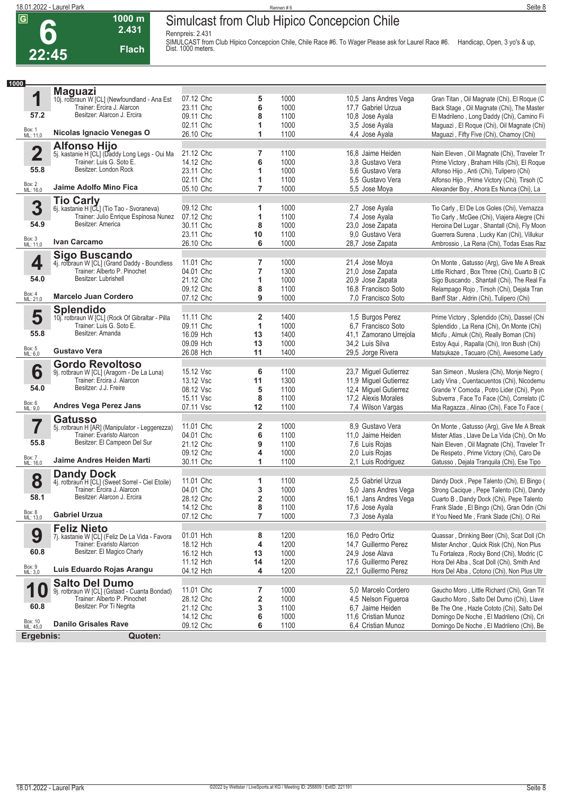**6**

## **Simulcast from Club Hipico Concepcion Chile**

**Rennpreis: 2.431**



**1000 m**

SIMULCAST from Club Hipico Concepcion Chile, Chile Race #6. To Wager Please ask for Laurel Race #6. Handicap, Open, 3 yo's & up,<br>Dist. 1000 meters.

| 1<br>57.2<br>Box: 1<br>ML: 11,0<br>$\mathbf 2$<br>55.8<br>Box: 2<br>ML: 16,0<br>3 | <b>Maguazi</b><br>10j. rotbraun W [CL] (Newfoundland - Ana Est<br>Trainer: Ercira J. Alarcon<br>Besitzer: Alarcon J. Ercira<br>Nicolas Ignacio Venegas O<br><b>Alfonso Hijo</b><br>5j. kastanie H [CL] (Daddy Long Legs - Oui Ma<br>Trainer: Luis G. Soto E.<br>Besitzer: London Rock<br>Jaime Adolfo Mino Fica<br><b>Tio Carly</b><br>6j. kastanie H [CL] (Tio Tao - Svoraneva) | 07.12 Chc<br>23.11 Chc<br>09.11 Chc<br>02.11 Chc<br>26.10 Chc<br>21.12 Chc<br>14.12 Chc<br>23.11 Chc<br>02.11 Chc<br>05.10 Chc | 5<br>6<br>8<br>1<br>1<br>7<br>6<br>1<br>1 | 1000<br>1000<br>1100<br>1000<br>1100<br>1100<br>1000 | 10,5 Jans Andres Vega<br>17.7 Gabriel Urzua<br>10,8 Jose Ayala<br>3,5 Jose Ayala<br>4.4 Jose Ayala<br>16,8 Jaime Heiden | Gran Titan, Oil Magnate (Chi), El Roque (C<br>Back Stage, Oil Magnate (Chi), The Master<br>El Madrileno, Long Daddy (Chi), Camino Fi<br>Maguazi, El Roque (Chi), Oil Magnate (Chi)<br>Maguazi, Fifty Five (Chi), Chamoy (Chi) |
|-----------------------------------------------------------------------------------|----------------------------------------------------------------------------------------------------------------------------------------------------------------------------------------------------------------------------------------------------------------------------------------------------------------------------------------------------------------------------------|--------------------------------------------------------------------------------------------------------------------------------|-------------------------------------------|------------------------------------------------------|-------------------------------------------------------------------------------------------------------------------------|-------------------------------------------------------------------------------------------------------------------------------------------------------------------------------------------------------------------------------|
|                                                                                   |                                                                                                                                                                                                                                                                                                                                                                                  |                                                                                                                                |                                           |                                                      |                                                                                                                         |                                                                                                                                                                                                                               |
|                                                                                   |                                                                                                                                                                                                                                                                                                                                                                                  |                                                                                                                                |                                           |                                                      |                                                                                                                         |                                                                                                                                                                                                                               |
|                                                                                   |                                                                                                                                                                                                                                                                                                                                                                                  |                                                                                                                                |                                           |                                                      |                                                                                                                         |                                                                                                                                                                                                                               |
|                                                                                   |                                                                                                                                                                                                                                                                                                                                                                                  |                                                                                                                                |                                           |                                                      |                                                                                                                         |                                                                                                                                                                                                                               |
|                                                                                   |                                                                                                                                                                                                                                                                                                                                                                                  |                                                                                                                                |                                           |                                                      |                                                                                                                         |                                                                                                                                                                                                                               |
|                                                                                   |                                                                                                                                                                                                                                                                                                                                                                                  |                                                                                                                                |                                           |                                                      |                                                                                                                         |                                                                                                                                                                                                                               |
|                                                                                   |                                                                                                                                                                                                                                                                                                                                                                                  |                                                                                                                                |                                           |                                                      |                                                                                                                         |                                                                                                                                                                                                                               |
|                                                                                   |                                                                                                                                                                                                                                                                                                                                                                                  |                                                                                                                                |                                           |                                                      |                                                                                                                         | Nain Eleven, Oil Magnate (Chi), Traveler Tr                                                                                                                                                                                   |
|                                                                                   |                                                                                                                                                                                                                                                                                                                                                                                  |                                                                                                                                |                                           |                                                      |                                                                                                                         | Prime Victory, Braham Hills (Chi), El Roque                                                                                                                                                                                   |
|                                                                                   |                                                                                                                                                                                                                                                                                                                                                                                  |                                                                                                                                |                                           |                                                      | 3.8 Gustavo Vera                                                                                                        |                                                                                                                                                                                                                               |
|                                                                                   |                                                                                                                                                                                                                                                                                                                                                                                  |                                                                                                                                |                                           | 1000                                                 | 5.6 Gustavo Vera                                                                                                        | Alfonso Hijo, Anti (Chi), Tulipero (Chi)                                                                                                                                                                                      |
|                                                                                   |                                                                                                                                                                                                                                                                                                                                                                                  |                                                                                                                                |                                           | 1100                                                 | 5.5 Gustavo Vera                                                                                                        | Alfonso Hijo, Prime Victory (Chi), Tirsoh (C                                                                                                                                                                                  |
|                                                                                   |                                                                                                                                                                                                                                                                                                                                                                                  |                                                                                                                                | $\overline{7}$                            | 1000                                                 | 5,5 Jose Moya                                                                                                           | Alexander Boy, Ahora Es Nunca (Chi), La                                                                                                                                                                                       |
|                                                                                   |                                                                                                                                                                                                                                                                                                                                                                                  |                                                                                                                                |                                           |                                                      |                                                                                                                         |                                                                                                                                                                                                                               |
|                                                                                   |                                                                                                                                                                                                                                                                                                                                                                                  | 09.12 Chc                                                                                                                      | 1                                         | 1000                                                 | 2,7 Jose Ayala                                                                                                          | Tio Carly, El De Los Goles (Chi), Vernazza                                                                                                                                                                                    |
|                                                                                   | Trainer: Julio Enrique Espinosa Nunez                                                                                                                                                                                                                                                                                                                                            | 07.12 Chc                                                                                                                      | 1                                         | 1100                                                 | 7,4 Jose Ayala                                                                                                          | Tio Carly, McGee (Chi), Viajera Alegre (Chi                                                                                                                                                                                   |
| 54.9                                                                              | Besitzer: America                                                                                                                                                                                                                                                                                                                                                                | 30.11 Chc                                                                                                                      | 8                                         | 1000                                                 | 23,0 Jose Zapata                                                                                                        | Heroina Del Lugar, Shantall (Chi), Fly Moon                                                                                                                                                                                   |
|                                                                                   |                                                                                                                                                                                                                                                                                                                                                                                  | 23.11 Chc                                                                                                                      | 10                                        | 1100                                                 | 9.0 Gustavo Vera                                                                                                        | Guerrera Surena, Lucky Kan (Chi), Villukur                                                                                                                                                                                    |
| Box: 3<br>ML: 11,0                                                                | Ivan Carcamo                                                                                                                                                                                                                                                                                                                                                                     | 26.10 Chc                                                                                                                      | 6                                         | 1000                                                 | 28,7 Jose Zapata                                                                                                        | Ambrossio, La Rena (Chi), Todas Esas Raz                                                                                                                                                                                      |
|                                                                                   |                                                                                                                                                                                                                                                                                                                                                                                  |                                                                                                                                |                                           |                                                      |                                                                                                                         |                                                                                                                                                                                                                               |
|                                                                                   | <b>Sigo Buscando</b>                                                                                                                                                                                                                                                                                                                                                             | 11.01 Chc                                                                                                                      | 7                                         | 1000                                                 | 21,4 Jose Moya                                                                                                          |                                                                                                                                                                                                                               |
| 4                                                                                 | 4j. rotbraun W [CL] (Grand Daddy - Boundless<br>Trainer: Alberto P. Pinochet                                                                                                                                                                                                                                                                                                     | 04.01 Chc                                                                                                                      | 7                                         | 1300                                                 |                                                                                                                         | On Monte, Gatusso (Arg), Give Me A Break                                                                                                                                                                                      |
| 54.0                                                                              | Besitzer: Lubrishell                                                                                                                                                                                                                                                                                                                                                             |                                                                                                                                |                                           |                                                      | 21,0 Jose Zapata                                                                                                        | Little Richard, Box Three (Chi), Cuarto B (C                                                                                                                                                                                  |
|                                                                                   |                                                                                                                                                                                                                                                                                                                                                                                  | 21.12 Chc                                                                                                                      | 1                                         | 1000                                                 | 20,9 Jose Zapata                                                                                                        | Sigo Buscando, Shantall (Chi), The Real Fa                                                                                                                                                                                    |
|                                                                                   |                                                                                                                                                                                                                                                                                                                                                                                  | 09.12 Chc                                                                                                                      | 8                                         | 1100                                                 | 16,8 Francisco Soto                                                                                                     | Relampago Rojo, Tirsoh (Chi), Dejala Tran                                                                                                                                                                                     |
| Box: 4<br>ML: 21,0                                                                | <b>Marcelo Juan Cordero</b>                                                                                                                                                                                                                                                                                                                                                      | 07.12 Chc                                                                                                                      | 9                                         | 1000                                                 | 7,0 Francisco Soto                                                                                                      | Banff Star, Aldrin (Chi), Tulipero (Chi)                                                                                                                                                                                      |
|                                                                                   | <b>Splendido</b>                                                                                                                                                                                                                                                                                                                                                                 |                                                                                                                                |                                           |                                                      |                                                                                                                         |                                                                                                                                                                                                                               |
| 5                                                                                 | 10j. rotbraun W [CL] (Rock Of Gibraltar - Pilla                                                                                                                                                                                                                                                                                                                                  | 11.11 Chc                                                                                                                      | 2                                         | 1400                                                 | 1,5 Burgos Perez                                                                                                        | Prime Victory, Splendido (Chi), Dassel (Chi                                                                                                                                                                                   |
|                                                                                   | Trainer: Luis G. Soto E.                                                                                                                                                                                                                                                                                                                                                         | 09.11 Chc                                                                                                                      | 1                                         | 1000                                                 | 6.7 Francisco Soto                                                                                                      | Splendido, La Rena (Chi), On Monte (Chi)                                                                                                                                                                                      |
| 55.8                                                                              | Besitzer: Amanda                                                                                                                                                                                                                                                                                                                                                                 | 16.09 Hch                                                                                                                      | 13                                        | 1400                                                 | 41,1 Zamorano Urrejola                                                                                                  | Micifu, Almuk (Chi), Really Boman (Chi)                                                                                                                                                                                       |
|                                                                                   |                                                                                                                                                                                                                                                                                                                                                                                  | 09.09 Hch                                                                                                                      | 13                                        | 1000                                                 | 34,2 Luis Silva                                                                                                         | Estoy Aqui, Rapalla (Chi), Iron Bush (Chi)                                                                                                                                                                                    |
| Box: 5<br>ML: 6,0                                                                 | <b>Gustavo Vera</b>                                                                                                                                                                                                                                                                                                                                                              | 26.08 Hch                                                                                                                      | 11                                        | 1400                                                 | 29,5 Jorge Rivera                                                                                                       | Matsukaze, Tacuaro (Chi), Awesome Lady                                                                                                                                                                                        |
|                                                                                   |                                                                                                                                                                                                                                                                                                                                                                                  |                                                                                                                                |                                           |                                                      |                                                                                                                         |                                                                                                                                                                                                                               |
| 6                                                                                 | <b>Gordo Revoltoso</b>                                                                                                                                                                                                                                                                                                                                                           | 15.12 Vsc                                                                                                                      | 6                                         | 1100                                                 | 23,7 Miguel Gutierrez                                                                                                   | San Simeon, Muslera (Chi), Monje Negro (                                                                                                                                                                                      |
|                                                                                   | 9j. rotbraun W [CL] (Aragorn - De La Luna)<br>Trainer: Ercira J. Alarcon                                                                                                                                                                                                                                                                                                         | 13.12 Vsc                                                                                                                      | 11                                        | 1300                                                 | 11,9 Miguel Gutierrez                                                                                                   | Lady Vina, Cuentacuentos (Chi), Nicodemu                                                                                                                                                                                      |
| 54.0                                                                              | Besitzer: J.J. Freire                                                                                                                                                                                                                                                                                                                                                            | 08.12 Vsc                                                                                                                      |                                           | 1100                                                 |                                                                                                                         |                                                                                                                                                                                                                               |
|                                                                                   |                                                                                                                                                                                                                                                                                                                                                                                  |                                                                                                                                | 5                                         |                                                      | 12,4 Miguel Gutierrez                                                                                                   | Grande Y Comoda, Potro Lider (Chi), Pyon                                                                                                                                                                                      |
| Box: 6<br>ML: 9,0                                                                 | <b>Andres Vega Perez Jans</b>                                                                                                                                                                                                                                                                                                                                                    | 15.11 Vsc                                                                                                                      | 8                                         | 1100                                                 | 17,2 Alexis Morales                                                                                                     | Subverra, Face To Face (Chi), Correlato (C                                                                                                                                                                                    |
|                                                                                   |                                                                                                                                                                                                                                                                                                                                                                                  | 07.11 Vsc                                                                                                                      | 12                                        | 1100                                                 | 7,4 Wilson Vargas                                                                                                       | Mia Ragazza, Alinao (Chi), Face To Face (                                                                                                                                                                                     |
|                                                                                   | <b>Gatusso</b>                                                                                                                                                                                                                                                                                                                                                                   |                                                                                                                                |                                           |                                                      |                                                                                                                         |                                                                                                                                                                                                                               |
| 7                                                                                 | 5j. rotbraun H [AR] (Manipulator - Leggerezza)                                                                                                                                                                                                                                                                                                                                   | 11.01 Chc                                                                                                                      | 2                                         | 1000                                                 | 8.9 Gustavo Vera                                                                                                        | On Monte, Gatusso (Arg), Give Me A Break                                                                                                                                                                                      |
|                                                                                   | Trainer: Evaristo Alarcon                                                                                                                                                                                                                                                                                                                                                        | 04.01 Chc                                                                                                                      | 6                                         | 1100                                                 | 11,0 Jaime Heiden                                                                                                       | Mister Atlas, Llave De La Vida (Chi), On Mo                                                                                                                                                                                   |
| 55.8                                                                              | Besitzer: El Campeon Del Sur                                                                                                                                                                                                                                                                                                                                                     | 21.12 Chc                                                                                                                      | 9                                         | 1100                                                 | 7,6 Luis Rojas                                                                                                          | Nain Eleven, Oil Magnate (Chi), Traveler Tr                                                                                                                                                                                   |
|                                                                                   |                                                                                                                                                                                                                                                                                                                                                                                  | 09.12 Chc                                                                                                                      | 4                                         | 1000                                                 | 2,0 Luis Rojas                                                                                                          | De Respeto, Prime Victory (Chi), Caro De                                                                                                                                                                                      |
| Box: 7<br>ML: 16,0                                                                | Jaime Andres Heiden Marti                                                                                                                                                                                                                                                                                                                                                        | 30.11 Chc                                                                                                                      | 1                                         | 1100                                                 | 2,1 Luis Rodriguez                                                                                                      | Gatusso, Dejala Tranquila (Chi), Ese Tipo                                                                                                                                                                                     |
|                                                                                   | <b>Dandy Dock</b>                                                                                                                                                                                                                                                                                                                                                                |                                                                                                                                |                                           |                                                      |                                                                                                                         |                                                                                                                                                                                                                               |
| 8                                                                                 | 4j. rotbraun H [CL] (Sweet Sorrel - Ciel Etoile)                                                                                                                                                                                                                                                                                                                                 | 11.01 Chc                                                                                                                      | 1                                         | 1100                                                 | 2,5 Gabriel Urzua                                                                                                       | Dandy Dock, Pepe Talento (Chi), El Bingo (                                                                                                                                                                                    |
|                                                                                   | Trainer: Ercira J. Alarcon                                                                                                                                                                                                                                                                                                                                                       | 04.01 Chc                                                                                                                      | 3                                         | 1000                                                 | 5,0 Jans Andres Vega                                                                                                    | Strong Cacique, Pepe Talento (Chi), Dandy                                                                                                                                                                                     |
| 58.1                                                                              | Besitzer: Alarcon J. Ercira                                                                                                                                                                                                                                                                                                                                                      | 28.12 Chc                                                                                                                      | $\overline{2}$                            | 1000                                                 | 16,1 Jans Andres Vega                                                                                                   | Cuarto B, Dandy Dock (Chi), Pepe Talento                                                                                                                                                                                      |
|                                                                                   |                                                                                                                                                                                                                                                                                                                                                                                  | 14.12 Chc                                                                                                                      | 8                                         | 1100                                                 | 17,6 Jose Ayala                                                                                                         |                                                                                                                                                                                                                               |
| Box: 8<br>ML: 13,0                                                                | <b>Gabriel Urzua</b>                                                                                                                                                                                                                                                                                                                                                             | 07.12 Chc                                                                                                                      | 7                                         | 1000                                                 | 7.3 Jose Ayala                                                                                                          | Frank Slade, El Bingo (Chi), Gran Odin (Chi<br>If You Need Me, Frank Slade (Chi), O Rei                                                                                                                                       |
|                                                                                   |                                                                                                                                                                                                                                                                                                                                                                                  |                                                                                                                                |                                           |                                                      |                                                                                                                         |                                                                                                                                                                                                                               |
|                                                                                   | <b>Feliz Nieto</b>                                                                                                                                                                                                                                                                                                                                                               |                                                                                                                                |                                           |                                                      |                                                                                                                         |                                                                                                                                                                                                                               |
| 9                                                                                 | 7j. kastanie W [CL] (Feliz De La Vida - Favora                                                                                                                                                                                                                                                                                                                                   | 01.01 Hch                                                                                                                      | 8                                         | 1200                                                 | 16.0 Pedro Ortiz                                                                                                        | Quassar, Drinking Beer (Chi), Scat Doll (Ch                                                                                                                                                                                   |
|                                                                                   | Trainer: Evaristo Alarcon                                                                                                                                                                                                                                                                                                                                                        | 18.12 Hch                                                                                                                      | 4                                         | 1200                                                 | 14,7 Guillermo Perez                                                                                                    | Mister Anchor, Quick Risk (Chi), Non Plus                                                                                                                                                                                     |
| 60.8                                                                              | Besitzer: El Magico Charly                                                                                                                                                                                                                                                                                                                                                       | 16.12 Hch                                                                                                                      | 13                                        | 1000                                                 | 24,9 Jose Alava                                                                                                         | Tu Fortaleza, Rocky Bond (Chi), Modric (C                                                                                                                                                                                     |
|                                                                                   |                                                                                                                                                                                                                                                                                                                                                                                  | 11.12 Hch                                                                                                                      | 14                                        | 1200                                                 | 17,6 Guillermo Perez                                                                                                    | Hora Del Alba, Scat Doll (Chi), Smith And                                                                                                                                                                                     |
| Box: 9<br>ML: 3,0                                                                 | Luis Eduardo Rojas Arangu                                                                                                                                                                                                                                                                                                                                                        | 04.12 Hch                                                                                                                      | 4                                         | 1200                                                 | 22,1 Guillermo Perez                                                                                                    | Hora Del Alba, Cotono (Chi), Non Plus Ultr                                                                                                                                                                                    |
|                                                                                   | <b>Salto Del Dumo</b>                                                                                                                                                                                                                                                                                                                                                            |                                                                                                                                |                                           |                                                      |                                                                                                                         |                                                                                                                                                                                                                               |
| 1                                                                                 | 9j. rotbraun W [CL] (Gstaad - Cuanta Bondad)                                                                                                                                                                                                                                                                                                                                     | 11.01 Chc                                                                                                                      | 7                                         | 1000                                                 | 5,0 Marcelo Cordero                                                                                                     | Gaucho Moro, Little Richard (Chi), Gran Tit                                                                                                                                                                                   |
|                                                                                   | Trainer: Alberto P. Pinochet                                                                                                                                                                                                                                                                                                                                                     | 28.12 Chc                                                                                                                      | 2                                         | 1000                                                 | 4,5 Nelson Figueroa                                                                                                     | Gaucho Moro, Salto Del Dumo (Chi), Llave                                                                                                                                                                                      |
| 60.8                                                                              | Besitzer: Por Ti Negrita                                                                                                                                                                                                                                                                                                                                                         | 21.12 Chc                                                                                                                      | 3                                         | 1100                                                 | 6,7 Jaime Heiden                                                                                                        | Be The One, Hazle Cototo (Chi), Salto Del                                                                                                                                                                                     |
|                                                                                   |                                                                                                                                                                                                                                                                                                                                                                                  | 14.12 Chc                                                                                                                      | 6                                         | 1000                                                 | 11,6 Cristian Munoz                                                                                                     | Domingo De Noche, El Madrileno (Chi), Cri                                                                                                                                                                                     |
| Box: 10<br>ML: 45,0                                                               | <b>Danilo Grisales Rave</b>                                                                                                                                                                                                                                                                                                                                                      | 09.12 Chc                                                                                                                      | 6                                         | 1100                                                 | 6,4 Cristian Munoz                                                                                                      | Domingo De Noche, El Madrileno (Chi), Be                                                                                                                                                                                      |
|                                                                                   |                                                                                                                                                                                                                                                                                                                                                                                  |                                                                                                                                |                                           |                                                      |                                                                                                                         |                                                                                                                                                                                                                               |
| Ergebnis:                                                                         | Quoten:                                                                                                                                                                                                                                                                                                                                                                          |                                                                                                                                |                                           |                                                      |                                                                                                                         |                                                                                                                                                                                                                               |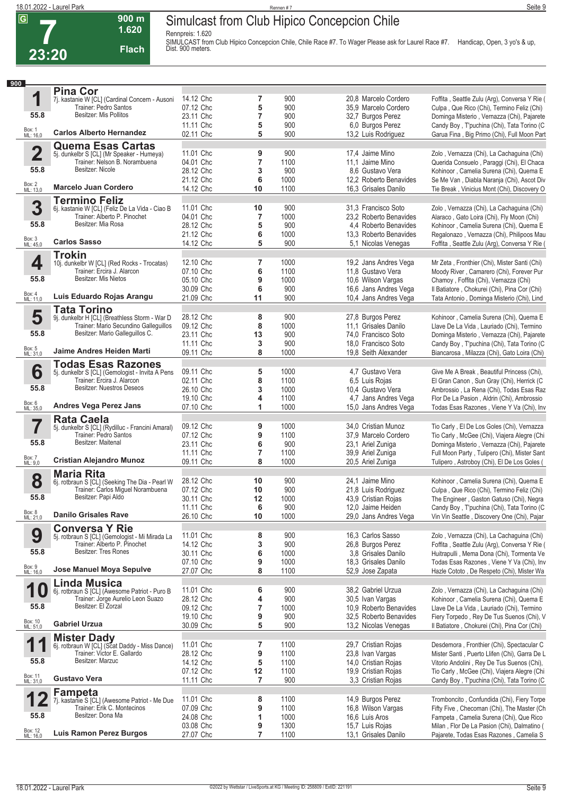**Rennpreis: 1.620**

**900 m 1.620 Flach**



SIMULCAST from Club Hipico Concepcion Chile, Chile Race #7. To Wager Please ask for Laurel Race #7. Handicap, Open, 3 yo's & up,<br>Dist. 900 meters.

| 900                     |                                                                                |           |    |      |                        |                                               |
|-------------------------|--------------------------------------------------------------------------------|-----------|----|------|------------------------|-----------------------------------------------|
|                         | <b>Pina Cor</b>                                                                |           |    |      |                        |                                               |
| 1                       | 7j. kastanie W [CL] (Cardinal Concern - Ausoni                                 | 14.12 Chc | 7  | 900  | 20,8 Marcelo Cordero   | Foffita, Seattle Zulu (Arg), Conversa Y Rie ( |
|                         | Trainer: Pedro Santos                                                          | 07.12 Chc | 5  | 900  | 35,9 Marcelo Cordero   | Culpa, Que Rico (Chi), Termino Feliz (Chi)    |
| 55.8                    | Besitzer: Mis Pollitos                                                         | 23.11 Chc | 7  | 900  | 32,7 Burgos Perez      | Dominga Misterio, Vernazza (Chi), Pajarete    |
|                         |                                                                                | 11.11 Chc | 5  | 900  | 6,0 Burgos Perez       | Candy Boy, T'puchina (Chi), Tata Torino (C    |
| Box: 1<br>ML: 16,0      | <b>Carlos Alberto Hernandez</b>                                                | 02.11 Chc | 5  | 900  | 13,2 Luis Rodriguez    | Garua Fina, Big Primo (Chi), Full Moon Part   |
|                         | <b>Quema Esas Cartas</b>                                                       |           |    |      |                        |                                               |
| $\overline{\mathbf{2}}$ | 5j. dunkelbr S [CL] (Mr Speaker - Humeya)                                      | 11.01 Chc | 9  | 900  | 17,4 Jaime Mino        | Zolo, Vernazza (Chi), La Cachaguina (Chi)     |
|                         | Trainer: Nelson B. Norambuena                                                  | 04.01 Chc | 7  | 1100 | 11,1 Jaime Mino        | Querida Consuelo, Paraggi (Chi), El Chaca     |
| 55.8                    | Besitzer: Nicole                                                               | 28.12 Chc | 3  | 900  | 8.6 Gustavo Vera       | Kohinoor, Camelia Surena (Chi), Quema E       |
|                         |                                                                                | 21.12 Chc | 6  | 1000 | 12.2 Roberto Benavides | Se Me Van, Diabla Naranja (Chi), Ascot Div    |
| Box: 2<br>ML: 13,0      | <b>Marcelo Juan Cordero</b>                                                    | 14.12 Chc | 10 | 1100 | 16,3 Grisales Danilo   | Tie Break, Vinicius Mont (Chi), Discovery O   |
|                         | <b>Termino Feliz</b>                                                           |           |    |      |                        |                                               |
| 3                       | 6j. kastanie W [CL] (Feliz De La Vida - Ciao B                                 | 11.01 Chc | 10 | 900  | 31,3 Francisco Soto    | Zolo, Vernazza (Chi), La Cachaguina (Chi)     |
|                         | Trainer: Alberto P. Pinochet                                                   | 04.01 Chc | 7  | 1000 | 23.2 Roberto Benavides | Alaraco, Gato Loira (Chi), Fly Moon (Chi)     |
| 55.8                    | Besitzer: Mia Rosa                                                             | 28.12 Chc | 5  | 900  | 4.4 Roberto Benavides  | Kohinoor, Camelia Surena (Chi), Quema E       |
|                         |                                                                                | 21.12 Chc | 6  | 1000 | 13,3 Roberto Benavides | Regalonazo, Vernazza (Chi), Philipoos Mau     |
| Box: 3<br>ML: 45,0      | <b>Carlos Sasso</b>                                                            | 14.12 Chc | 5  | 900  | 5,1 Nicolas Venegas    | Foffita, Seattle Zulu (Arg), Conversa Y Rie ( |
|                         | <b>Trokin</b>                                                                  |           |    |      |                        |                                               |
| 4                       | 10j. dunkelbr W [CL] (Red Rocks - Trocatas)                                    | 12.10 Chc | 7  | 1000 | 19,2 Jans Andres Vega  | Mr Zeta, Fronthier (Chi), Mister Santi (Chi)  |
|                         | Trainer: Ercira J. Alarcon                                                     | 07.10 Chc | 6  | 1100 | 11,8 Gustavo Vera      | Moody River, Camarero (Chi), Forever Pur      |
| 55.8                    | Besitzer: Mis Nietos                                                           | 05.10 Chc | 9  | 1000 | 10,6 Wilson Vargas     | Chamoy, Foffita (Chi), Vernazza (Chi)         |
|                         |                                                                                | 30.09 Chc | 6  | 900  | 16,6 Jans Andres Vega  | Il Batiatore, Chokurei (Chi), Pina Cor (Chi)  |
| Box: 4<br>ML: 11,0      | Luis Eduardo Rojas Arangu                                                      | 21.09 Chc | 11 | 900  | 10,4 Jans Andres Vega  | Tata Antonio, Dominga Misterio (Chi), Lind    |
|                         | <b>Tata Torino</b>                                                             |           |    |      |                        |                                               |
| 5                       | 9j. dunkelbr H [CL] (Breathless Storm - War D                                  | 28.12 Chc | 8  | 900  | 27,8 Burgos Perez      | Kohinoor, Camelia Surena (Chi), Quema E       |
|                         | Trainer: Mario Secundino Galleguillos                                          | 09.12 Chc | 8  | 1000 | 11,1 Grisales Danilo   | Llave De La Vida, Lauriado (Chi), Termino     |
| 55.8                    | Besitzer: Mario Galleguillos C.                                                | 23.11 Chc | 13 | 900  | 74,0 Francisco Soto    | Dominga Misterio, Vernazza (Chi), Pajarete    |
|                         |                                                                                | 11.11 Chc | 3  | 900  | 18,0 Francisco Soto    | Candy Boy, T'puchina (Chi), Tata Torino (C    |
| Box: 5<br>ML: 31,0      | Jaime Andres Heiden Marti                                                      | 09.11 Chc | 8  | 1000 | 19,8 Seith Alexander   | Biancarosa, Milazza (Chi), Gato Loira (Chi)   |
|                         | <b>Todas Esas Razones</b>                                                      |           |    |      |                        |                                               |
| 6                       | 5j. dunkelbr S [CL] (Gemologist - Invita A Pens                                | 09.11 Chc | 5  | 1000 | 4,7 Gustavo Vera       | Give Me A Break, Beautiful Princess (Chi),    |
|                         | Trainer: Ercira J. Alarcon                                                     | 02.11 Chc | 8  | 1100 | 6.5 Luis Rojas         | El Gran Canon, Sun Gray (Chi), Herrick (C     |
| 55.8                    | <b>Besitzer: Nuestros Deseos</b>                                               | 26.10 Chc | 3  | 1000 | 10,4 Gustavo Vera      | Ambrossio, La Rena (Chi), Todas Esas Raz      |
|                         |                                                                                | 19.10 Chc | 4  | 1100 | 4,7 Jans Andres Vega   | Flor De La Pasion, Aldrin (Chi), Ambrossio    |
| Box: 6<br>ML: 35,0      | <b>Andres Vega Perez Jans</b>                                                  | 07.10 Chc | 1  | 1000 | 15,0 Jans Andres Vega  | Todas Esas Razones, Viene Y Va (Chi), Inv     |
|                         | <b>Rata Caela</b>                                                              |           |    |      |                        |                                               |
| 7                       | 5j. dunkelbr S [CL] (Rydilluc - Francini Amaral)                               | 09.12 Chc | 9  | 1000 | 34,0 Cristian Munoz    | Tio Carly, El De Los Goles (Chi), Vernazza    |
|                         | Trainer: Pedro Santos                                                          | 07.12 Chc | 9  | 1100 | 37,9 Marcelo Cordero   | Tio Carly, McGee (Chi), Viajera Alegre (Chi   |
| 55.8                    | Besitzer: Maitenal                                                             | 23.11 Chc | 6  | 900  | 23.1 Ariel Zuniga      | Dominga Misterio, Vernazza (Chi), Pajarete    |
|                         |                                                                                | 11.11 Chc | 7  | 1100 | 39,9 Ariel Zuniga      | Full Moon Party, Tulipero (Chi), Mister Sant  |
| Box: 7<br>ML: 9,0       | <b>Cristian Alejandro Munoz</b>                                                | 09.11 Chc | 8  | 1000 | 20,5 Ariel Zuniga      | Tulipero, Astroboy (Chi), El De Los Goles (   |
|                         | <b>Maria Rita</b>                                                              |           |    |      |                        |                                               |
| 8                       | 6j. rotbraun S [CL] (Seeking The Dia - Pearl W                                 | 28.12 Chc | 10 | 900  | 24,1 Jaime Mino        | Kohinoor, Camelia Surena (Chi), Quema E       |
|                         | Trainer: Carlos Miquel Norambuena                                              | 07.12 Chc | 10 | 900  | 21,8 Luis Rodriguez    | Culpa, Que Rico (Chi), Termino Feliz (Chi)    |
| 55.8                    | Besitzer: Papi Aldo                                                            | 30.11 Chc | 12 | 1000 | 43,9 Cristian Rojas    | The Engineer, Gaston Gatuso (Chi), Negra      |
|                         |                                                                                | 11.11 Chc | 6  | 900  | 12,0 Jaime Heiden      | Candy Boy, T'puchina (Chi), Tata Torino (C    |
| Box: 8<br>ML: 21,0      | <b>Danilo Grisales Rave</b>                                                    | 26.10 Chc | 10 | 1000 | 29,0 Jans Andres Vega  | Vin Vin Seattle, Discovery One (Chi), Pajar   |
|                         | <b>Conversa Y Rie</b>                                                          |           |    |      |                        |                                               |
| 9                       |                                                                                | 11.01 Chc | 8  | 900  | 16,3 Carlos Sasso      | Zolo, Vernazza (Chi), La Cachaguina (Chi)     |
|                         | 5j. rotbraun S [CL] (Gemologist - Mi Mirada La<br>Trainer: Alberto P. Pinochet | 14.12 Chc | 3  | 900  | 26,8 Burgos Perez      | Foffita, Seattle Zulu (Arg), Conversa Y Rie ( |
| 55.8                    | Besitzer: Tres Rones                                                           | 30.11 Chc | 6  | 1000 | 3,8 Grisales Danilo    | Huitrapulli, Mema Dona (Chi), Tormenta Ve     |
|                         |                                                                                | 07.10 Chc | 9  | 1000 | 18.3 Grisales Danilo   | Todas Esas Razones, Viene Y Va (Chi), Inv     |
| Box: 9<br>ML: 16,0      | Jose Manuel Moya Sepulve                                                       | 27.07 Chc | 8  | 1100 | 52,9 Jose Zapata       | Hazle Cototo, De Respeto (Chi), Mister Wa     |
|                         | <b>Linda Musica</b>                                                            |           |    |      |                        |                                               |
| 1                       | 6j. rotbraun S [CL] (Awesome Patriot - Puro B                                  | 11.01 Chc | 6  | 900  | 38,2 Gabriel Urzua     | Zolo, Vernazza (Chi), La Cachaguina (Chi)     |
|                         | Trainer: Jorge Aurelio Leon Suazo                                              | 28.12 Chc | 4  | 900  | 30,5 Ivan Vargas       | Kohinoor, Camelia Surena (Chi), Quema E       |
| 55.8                    | Besitzer: El Zorzal                                                            | 09.12 Chc | 7  | 1000 | 10.9 Roberto Benavides | Llave De La Vida, Lauriado (Chi), Termino     |
|                         |                                                                                | 19.10 Chc | 9  | 900  | 32,5 Roberto Benavides | Fiery Torpedo, Rey De Tus Suenos (Chi), V     |
| Box: 10<br>ML: 51,0     | <b>Gabriel Urzua</b>                                                           | 30.09 Chc | 5  | 900  | 13,2 Nicolas Venegas   | Il Batiatore, Chokurei (Chi), Pina Cor (Chi)  |
|                         | <b>Mister Dady</b>                                                             |           |    |      |                        |                                               |
| 1                       | 6j. rotbraun W [CL] (Scat Daddy - Miss Dance)                                  | 11.01 Chc | 7  | 1100 | 29,7 Cristian Rojas    | Desdemora, Fronthier (Chi), Spectacular C     |
|                         | Trainer: Victor E. Gallardo                                                    | 28.12 Chc | 9  | 1100 | 23,8 Ivan Vargas       | Mister Santi, Puerto Llifen (Chi), Garra De L |
| 55.8                    | Besitzer: Marzuc                                                               | 14.12 Chc | 5  | 1100 | 14,0 Cristian Rojas    | Vitorio Andolini, Rey De Tus Suenos (Chi),    |
|                         |                                                                                | 07.12 Chc | 12 | 1100 | 19,9 Cristian Rojas    | Tio Carly, McGee (Chi), Viajera Alegre (Chi   |
| Box: 11<br>ML: 31,0     | <b>Gustavo Vera</b>                                                            | 11.11 Chc | 7  | 900  | 3,3 Cristian Rojas     | Candy Boy, T'puchina (Chi), Tata Torino (C    |
|                         | <b>Fampeta</b>                                                                 |           |    |      |                        |                                               |
|                         | 7j. kastanie S [CL] (Awesome Patriot - Me Due                                  | 11.01 Chc | 8  | 1100 | 14,9 Burgos Perez      | Tromboncito, Confundida (Chi), Fiery Torpe    |
|                         | Trainer: Erik C. Montecinos                                                    | 07.09 Chc | 9  | 1100 | 16,8 Wilson Vargas     | Fifty Five, Checoman (Chi), The Master (Ch    |
| 55.8                    | Besitzer: Dona Ma                                                              | 24.08 Chc | 1  | 1000 | 16,6 Luis Aros         | Fampeta, Camelia Surena (Chi), Que Rico       |
|                         |                                                                                | 03.08 Chc | 9  | 1300 | 15,7 Luis Rojas        | Milan, Flor De La Pasion (Chi), Dalmatino (   |
| Box: 12<br>ML: 16,0     | <b>Luis Ramon Perez Burgos</b>                                                 | 27.07 Chc | 7  | 1100 | 13,1 Grisales Danilo   | Pajarete, Todas Esas Razones, Camelia S       |
|                         |                                                                                |           |    |      |                        |                                               |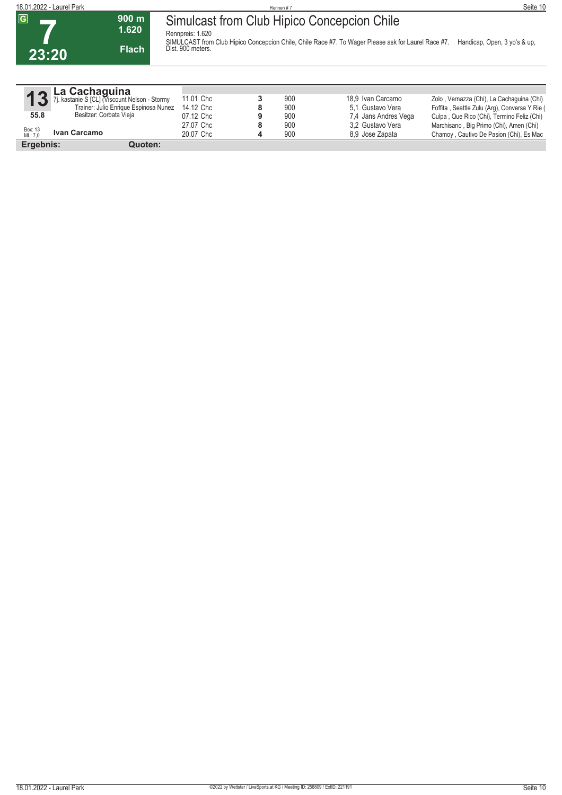

|                    | La Cachaguina                                |           |     |                      |                                               |
|--------------------|----------------------------------------------|-----------|-----|----------------------|-----------------------------------------------|
|                    | J. kastanie S [CL] (Viscount Nelson - Stormy | 11.01 Chc | 900 | 18.9 Ivan Carcamo    | Zolo, Vernazza (Chi), La Cachaguina (Chi)     |
|                    | Trainer: Julio Enrique Espinosa Nunez        | 14.12 Chc | 900 | 5.1 Gustavo Vera     | Foffita, Seattle Zulu (Arg), Conversa Y Rie ( |
| 55.8               | Besitzer: Corbata Vieja                      | 07.12 Chc | 900 | 7.4 Jans Andres Vega | Culpa, Que Rico (Chi), Termino Feliz (Chi)    |
|                    |                                              | 27.07 Chc | 900 | 3.2 Gustavo Vera     | Marchisano, Big Primo (Chi), Amen (Chi)       |
| Box: 13<br>ML: 7.0 | Ivan Carcamo                                 | 20.07 Chc | 900 | 8.9 Jose Zapata      | Chamoy, Cautivo De Pasion (Chi), Es Mac       |
| Ergebnis:          | Quoten:                                      |           |     |                      |                                               |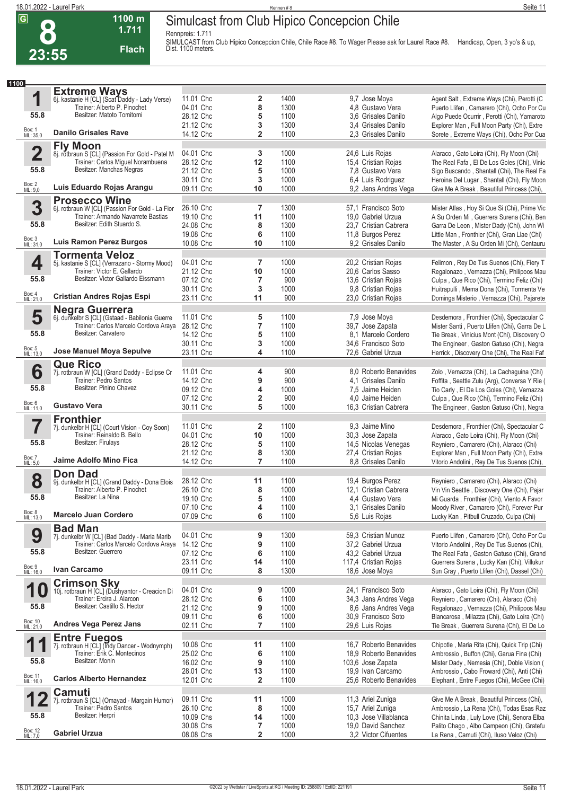**8**

## **Simulcast from Club Hipico Concepcion Chile**

**Rennpreis: 1.711**



**1100 m**

SIMULCAST from Club Hipico Concepcion Chile, Chile Race #8. To Wager Please ask for Laurel Race #8. Handicap, Open, 3 yo's & up,<br>Dist. 1100 meters.

| 1100                |                                                                         |           |                         |      |                        |                                                                                           |
|---------------------|-------------------------------------------------------------------------|-----------|-------------------------|------|------------------------|-------------------------------------------------------------------------------------------|
|                     | <b>Extreme Ways</b>                                                     |           |                         |      |                        |                                                                                           |
| 1                   | 6j. kastanie H [CL] (Scat Daddy - Lady Verse)                           | 11.01 Chc | 2                       | 1400 | 9,7 Jose Moya          | Agent Salt, Extreme Ways (Chi), Perotti (C                                                |
|                     | Trainer: Alberto P. Pinochet                                            | 04.01 Chc | 8                       | 1300 | 4.8 Gustavo Vera       | Puerto Llifen, Camarero (Chi), Ocho Por Cu                                                |
| 55.8                | Besitzer: Matoto Tomitomi                                               | 28.12 Chc | 5                       | 1100 | 3.6 Grisales Danilo    | Algo Puede Ocurrir, Perotti (Chi), Yamaroto                                               |
|                     |                                                                         | 21.12 Chc | 3                       | 1300 | 3.4 Grisales Danilo    | Explorer Man, Full Moon Party (Chi), Extre                                                |
| Box: 1<br>ML: 35,0  | <b>Danilo Grisales Rave</b>                                             | 14.12 Chc | $\overline{2}$          | 1100 | 2,3 Grisales Danilo    | Sorete, Extreme Ways (Chi), Ocho Por Cua                                                  |
|                     | <b>Fly Moon</b>                                                         |           |                         |      |                        |                                                                                           |
| $\overline{2}$      | 8j. rotbraun S [CL] (Passion For Gold - Patel M                         | 04.01 Chc | 3                       | 1000 | 24,6 Luis Rojas        | Alaraco, Gato Loira (Chi), Fly Moon (Chi)                                                 |
|                     | Trainer: Carlos Miguel Norambuena                                       | 28.12 Chc | 12                      | 1100 | 15,4 Cristian Rojas    | The Real Fafa, El De Los Goles (Chi), Vinic                                               |
| 55.8                | Besitzer: Manchas Negras                                                | 21.12 Chc | 5                       | 1000 | 7,8 Gustavo Vera       | Sigo Buscando, Shantall (Chi), The Real Fa                                                |
|                     |                                                                         | 30.11 Chc | 3                       | 1000 | 6,4 Luis Rodriguez     | Heroina Del Lugar, Shantall (Chi), Fly Moon                                               |
| Box: 2<br>ML: 9,0   | Luis Eduardo Rojas Arangu                                               | 09.11 Chc | 10                      | 1000 | 9,2 Jans Andres Vega   | Give Me A Break, Beautiful Princess (Chi),                                                |
|                     |                                                                         |           |                         |      |                        |                                                                                           |
|                     | <b>Prosecco Wine</b>                                                    |           |                         |      |                        |                                                                                           |
| 3                   | 6j. rotbraun W [CL] (Passion For Gold - La Fior                         | 26.10 Chc | 7                       | 1300 | 57,1 Francisco Soto    | Mister Atlas, Hoy Si Que Si (Chi), Prime Vic                                              |
|                     | Trainer: Armando Navarrete Bastias                                      | 19.10 Chc | 11                      | 1100 | 19,0 Gabriel Urzua     | A Su Orden Mi, Guerrera Surena (Chi), Ben                                                 |
| 55.8                | Besitzer: Edith Stuardo S.                                              | 24.08 Chc | 8                       | 1300 | 23,7 Cristian Cabrera  | Garra De Leon, Mister Dady (Chi), John Wi                                                 |
|                     |                                                                         | 19.08 Chc | 6                       | 1100 | 11,8 Burgos Perez      | Little Man, Fronthier (Chi), Gran Llae (Chi)                                              |
| Box: 3<br>ML: 31,0  | <b>Luis Ramon Perez Burgos</b>                                          | 10.08 Chc | 10                      | 1100 | 9.2 Grisales Danilo    | The Master, A Su Orden Mi (Chi), Centauru                                                 |
|                     | <b>Tormenta Veloz</b>                                                   |           |                         |      |                        |                                                                                           |
| 4                   | 5j. kastanie S [CL] (Verrazano - Stormy Mood)                           | 04.01 Chc | $\overline{7}$          | 1000 | 20,2 Cristian Rojas    | Felimon, Rey De Tus Suenos (Chi), Fiery T                                                 |
|                     | Trainer: Victor E. Gallardo                                             | 21.12 Chc | 10                      | 1000 | 20,6 Carlos Sasso      | Regalonazo, Vernazza (Chi), Philipoos Mau                                                 |
| 55.8                | Besitzer: Victor Gallardo Eissmann                                      | 07.12 Chc | 7                       | 900  | 13,6 Cristian Rojas    | Culpa, Que Rico (Chi), Termino Feliz (Chi)                                                |
|                     |                                                                         | 30.11 Chc | 3                       | 1000 | 9,8 Cristian Rojas     | Huitrapulli, Mema Dona (Chi), Tormenta Ve                                                 |
| Box: 4<br>ML: 21,0  | <b>Cristian Andres Rojas Espi</b>                                       | 23.11 Chc | 11                      | 900  | 23,0 Cristian Rojas    | Dominga Misterio, Vernazza (Chi), Pajarete                                                |
|                     |                                                                         |           |                         |      |                        |                                                                                           |
| 5                   | <b>Negra Guerrera</b><br>6j. dunkelbr S [CL] (Gstaad - Babilonia Guerre | 11.01 Chc | 5                       | 1100 | 7,9 Jose Moya          | Desdemora, Fronthier (Chi), Spectacular C                                                 |
|                     | Trainer: Carlos Marcelo Cordova Araya                                   | 28.12 Chc | $\overline{\mathbf{r}}$ | 1100 | 39,7 Jose Zapata       | Mister Santi, Puerto Llifen (Chi), Garra De L                                             |
| 55.8                | Besitzer: Carvatero                                                     | 14.12 Chc | 5                       | 1100 | 8.1 Marcelo Cordero    | Tie Break, Vinicius Mont (Chi), Discovery O                                               |
|                     |                                                                         | 30.11 Chc | 3                       | 1000 | 34.6 Francisco Soto    | The Engineer, Gaston Gatuso (Chi), Negra                                                  |
| Box: 5<br>ML: 13,0  | Jose Manuel Moya Sepulve                                                | 23.11 Chc | 4                       | 1100 | 72,6 Gabriel Urzua     | Herrick, Discovery One (Chi), The Real Faf                                                |
|                     |                                                                         |           |                         |      |                        |                                                                                           |
|                     | <b>Que Rico</b>                                                         |           |                         |      |                        |                                                                                           |
| 6                   | 7j. rotbraun W [CL] (Grand Daddy - Eclipse Cr<br>Trainer: Pedro Santos  | 11.01 Chc | 4                       | 900  | 8.0 Roberto Benavides  | Zolo, Vernazza (Chi), La Cachaguina (Chi)                                                 |
|                     | Besitzer: Pinino Chavez                                                 | 14.12 Chc | 9                       | 900  | 4.1 Grisales Danilo    | Foffita, Seattle Zulu (Arg), Conversa Y Rie (                                             |
| 55.8                |                                                                         | 09.12 Chc | 4                       | 1000 | 7,5 Jaime Heiden       | Tio Carly, El De Los Goles (Chi), Vernazza                                                |
| Box: 6<br>ML: 11,0  | <b>Gustavo Vera</b>                                                     | 07.12 Chc | 2                       | 900  | 4,0 Jaime Heiden       | Culpa, Que Rico (Chi), Termino Feliz (Chi)                                                |
|                     |                                                                         | 30.11 Chc | 5                       | 1000 | 16,3 Cristian Cabrera  | The Engineer, Gaston Gatuso (Chi), Negra                                                  |
|                     | <b>Fronthier</b>                                                        |           |                         |      |                        |                                                                                           |
| 7                   | 7j. dunkelbr H [CL] (Court Vision - Coy Soon)                           | 11.01 Chc | $\mathbf{2}$            | 1100 | 9.3 Jaime Mino         | Desdemora, Fronthier (Chi), Spectacular C                                                 |
|                     | Trainer: Reinaldo B. Bello                                              | 04.01 Chc | 10                      | 1000 | 30,3 Jose Zapata       | Alaraco, Gato Loira (Chi), Fly Moon (Chi)                                                 |
| 55.8                | Besitzer: Firulays                                                      | 28.12 Chc | 5                       | 1100 | 14,5 Nicolas Venegas   | Reyniero, Camarero (Chi), Alaraco (Chi)                                                   |
|                     |                                                                         | 21.12 Chc | 8                       | 1300 | 27,4 Cristian Rojas    | Explorer Man, Full Moon Party (Chi), Extre                                                |
| Box: 7<br>ML: 5,0   | Jaime Adolfo Mino Fica                                                  | 14.12 Chc | $\overline{7}$          | 1100 | 8.8 Grisales Danilo    | Vitorio Andolini, Rey De Tus Suenos (Chi),                                                |
|                     | <b>Don Dad</b>                                                          |           |                         |      |                        |                                                                                           |
| 8                   | 9j. dunkelbr H [CL] (Grand Daddy - Dona Elois                           | 28.12 Chc | 11                      | 1100 | 19,4 Burgos Perez      | Reyniero, Camarero (Chi), Alaraco (Chi)                                                   |
|                     | Trainer: Alberto P. Pinochet                                            | 26.10 Chc | 8                       | 1000 | 12,1 Cristian Cabrera  | Vin Vin Seattle, Discovery One (Chi), Pajar                                               |
| 55.8                | Besitzer: La Nina                                                       | 19.10 Chc | 5                       | 1100 | 4,4 Gustavo Vera       | Mi Guarda, Fronthier (Chi), Viento A Favor                                                |
|                     |                                                                         | 07.10 Chc | 4                       | 1100 | 3.1 Grisales Danilo    | Moody River, Camarero (Chi), Forever Pur                                                  |
| Box: 8<br>ML: 13,0  | <b>Marcelo Juan Cordero</b>                                             | 07.09 Chc | 6                       | 1100 | 5,6 Luis Rojas         | Lucky Kan, Pitbull Cruzado, Culpa (Chi)                                                   |
|                     | <b>Bad Man</b>                                                          |           |                         |      |                        |                                                                                           |
| 9                   | 7j. dunkelbr W [CL] (Bad Daddy - Maria Marib                            | 04.01 Chc | 9                       | 1300 | 59,3 Cristian Munoz    | Puerto Llifen, Camarero (Chi), Ocho Por Cu                                                |
|                     | Trainer: Carlos Marcelo Cordova Araya                                   | 14.12 Chc | 9                       | 1100 | 37,2 Gabriel Urzua     | Vitorio Andolini, Rey De Tus Suenos (Chi),                                                |
| 55.8                | Besitzer: Guerrero                                                      | 07.12 Chc | 6                       | 1100 | 43,2 Gabriel Urzua     | The Real Fafa, Gaston Gatuso (Chi), Grand                                                 |
|                     |                                                                         | 23.11 Chc |                         | 1100 | 117,4 Cristian Rojas   |                                                                                           |
| Box: 9<br>ML: 16,0  | Ivan Carcamo                                                            | 09.11 Chc | 14<br>8                 | 1300 | 18,6 Jose Moya         | Guerrera Surena, Lucky Kan (Chi), Villukur<br>Sun Gray, Puerto Llifen (Chi), Dassel (Chi) |
|                     |                                                                         |           |                         |      |                        |                                                                                           |
| 1                   | <b>Crimson Sky</b>                                                      | 04.01 Chc | 9                       | 1000 | 24,1 Francisco Soto    | Alaraco, Gato Loira (Chi), Fly Moon (Chi)                                                 |
|                     | 10j. rotbraun H [CL] (Dushyantor - Creacion Di                          |           |                         |      |                        |                                                                                           |
| 55.8                | Trainer: Ercira J. Álarcon<br>Besitzer: Castillo S. Hector              | 28.12 Chc | 6                       | 1100 | 34,3 Jans Andres Vega  | Reyniero, Camarero (Chi), Alaraco (Chi)                                                   |
|                     |                                                                         | 21.12 Chc | 9                       | 1000 | 8,6 Jans Andres Vega   | Regalonazo, Vernazza (Chi), Philipoos Mau                                                 |
| Box: 10<br>ML: 21,0 | <b>Andres Vega Perez Jans</b>                                           | 09.11 Chc | 6                       | 1000 | 30,9 Francisco Soto    | Biancarosa, Milazza (Chi), Gato Loira (Chi)                                               |
|                     |                                                                         | 02.11 Chc | $\overline{7}$          | 1100 | 29,6 Luis Rojas        | Tie Break, Guerrera Surena (Chi), El De Lo                                                |
|                     | <b>Entre Fuegos</b>                                                     |           |                         |      |                        |                                                                                           |
| 1                   | 7j. rotbraun H [CL] (Indy Dancer - Wodnymph)                            | 10.08 Chc | 11                      | 1100 | 16.7 Roberto Benavides | Chipotle, Maria Rita (Chi), Quick Trip (Chi)                                              |
|                     | Trainer: Erik C. Montecinos                                             | 25.02 Chc | 6                       | 1100 | 18.9 Roberto Benavides | Ambrossio, Buffon (Chi), Garua Fina (Chi)                                                 |
| 55.8                | Besitzer: Monin                                                         | 16.02 Chc | 9                       | 1100 | 103,6 Jose Zapata      | Mister Dady, Nemesia (Chi), Doble Vision (                                                |
|                     |                                                                         | 28.01 Chc | 13                      | 1100 | 19,9 Ivan Carcamo      | Ambrossio, Cabo Froward (Chi), Anti (Chi)                                                 |
| Box: 11<br>ML: 16,0 | <b>Carlos Alberto Hernandez</b>                                         | 12.01 Chc | $\overline{\mathbf{2}}$ | 1100 | 25,6 Roberto Benavides | Elephant, Entre Fuegos (Chi), McGee (Chi)                                                 |
|                     | <b>Camuti</b>                                                           |           |                         |      |                        |                                                                                           |
|                     | 7j. rotbraun S [CL] (Omayad - Margain Humor)                            | 09.11 Chc | 11                      | 1000 | 11,3 Ariel Zuniga      | Give Me A Break, Beautiful Princess (Chi),                                                |
|                     | Trainer: Pedro Santos                                                   | 26.10 Chc | 8                       | 1000 | 15,7 Ariel Zuniga      | Ambrossio, La Rena (Chi), Todas Esas Raz                                                  |
| 55.8                | Besitzer: Herpri                                                        | 10.09 Chs | 14                      | 1000 | 10,3 Jose Villablanca  | Chinita Linda, Luly Love (Chi), Senora Elba                                               |
|                     |                                                                         | 30.08 Chs | 7                       | 1000 | 19,0 David Sanchez     | Palito Chago, Albo Campeon (Chi), Gratefu                                                 |
| Box: 12<br>ML: 7,0  | <b>Gabriel Urzua</b>                                                    | 08.08 Chs | $\overline{2}$          | 1000 | 3,2 Victor Cifuentes   | La Rena, Camuti (Chi), Iluso Veloz (Chi)                                                  |
|                     |                                                                         |           |                         |      |                        |                                                                                           |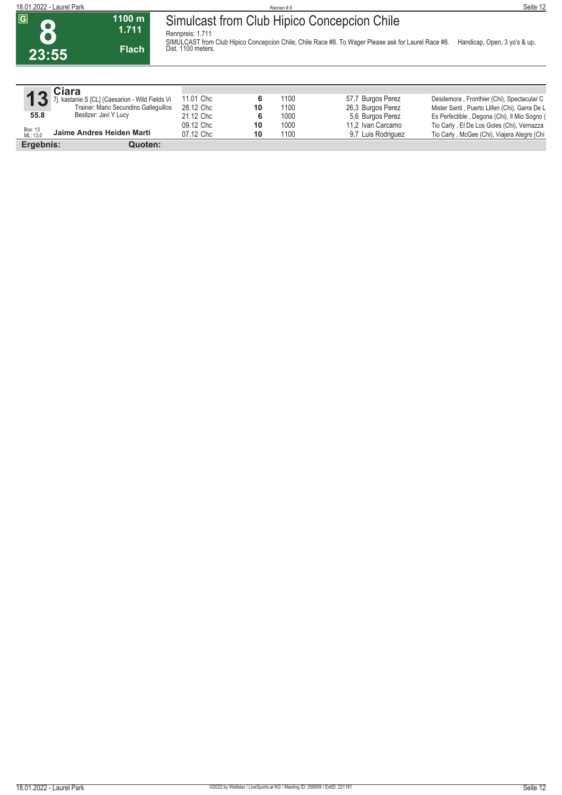**8 23:55** **1100 m 1.711 Flach**

**Rennpreis: 1.711** SIMULCAST from Club Hipico Concepcion Chile, Chile Race #8. To Wager Please ask for Laurel Race #8. Handicap, Open, 3 yo's & up,<br>Dist. 1100 meters.

|                     | Ciara                                           |           |    |      |                    |                                               |
|---------------------|-------------------------------------------------|-----------|----|------|--------------------|-----------------------------------------------|
| 13                  | 'j. kastanie S [CL] (Caesarion - Wild Fields Vi | 11.01 Chc |    | 1100 | 57,7 Burgos Perez  | Desdemora, Fronthier (Chi), Spectacular C     |
|                     | Trainer: Mario Secundino Gallequillos           | 28.12 Chc | 10 | 1100 | 26,3 Burgos Perez  | Mister Santi, Puerto Llifen (Chi), Garra De L |
| 55.8                | Besitzer: Javi Y Lucy                           | 21.12 Chc | 6  | 1000 | 5.6 Burgos Perez   | Es Perfectible, Degona (Chi), Il Mio Sogno (  |
|                     |                                                 | 09.12 Chc | 10 | 1000 | 11.2 Ivan Carcamo  | Tio Carly, El De Los Goles (Chi), Vernazza    |
| Box: 13<br>ML: 13,0 | Jaime Andres Heiden Marti                       | 07.12 Chc | 10 | 1100 | 9.7 Luis Rodriguez | Tio Carly, McGee (Chi), Viajera Alegre (Chi   |
| Ergebnis:           | Quoten:                                         |           |    |      |                    |                                               |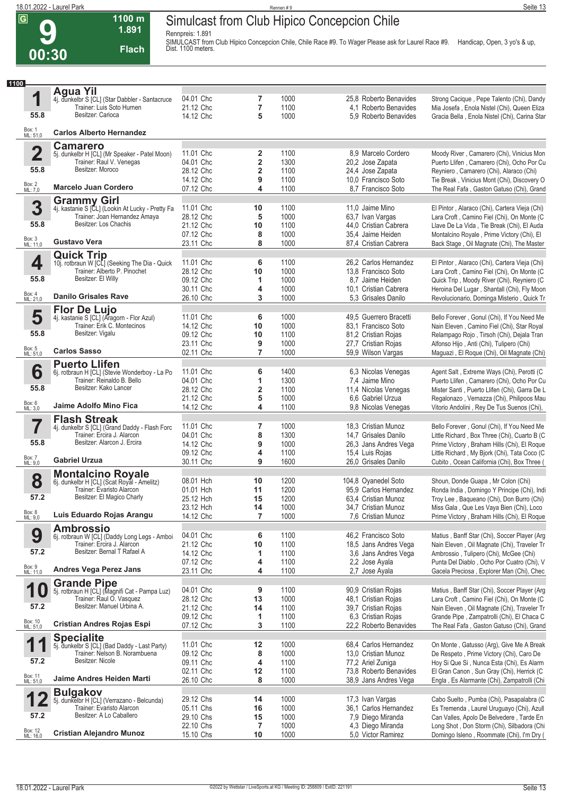**9**

#### **Simulcast from Club Hipico Concepcion Chile**

**Rennpreis: 1.891**



**1100 m**

SIMULCAST from Club Hipico Concepcion Chile, Chile Race #9. To Wager Please ask for Laurel Race #9. Handicap, Open, 3 yo's & up,<br>Dist. 1100 meters.

| 1100                      |                                                                           |           |         |      |                        |                                                                                         |
|---------------------------|---------------------------------------------------------------------------|-----------|---------|------|------------------------|-----------------------------------------------------------------------------------------|
|                           | <b>Agua Yil</b>                                                           |           |         |      |                        |                                                                                         |
| 1                         | 4j. dunkelbr S [CL] (Star Dabbler - Santacruce                            | 04.01 Chc | 7       | 1000 | 25.8 Roberto Benavides | Strong Cacique, Pepe Talento (Chi), Dandy                                               |
|                           | Trainer: Luis Soto Hurnen                                                 | 21.12 Chc | 7       | 1100 | 4.1 Roberto Benavides  | Mia Josefa, Enola Nistel (Chi), Queen Eliza                                             |
| 55.8                      | Besitzer: Carioca                                                         | 14.12 Chc | 5       | 1000 | 5.9 Roberto Benavides  | Gracia Bella, Enola Nistel (Chi), Carina Star                                           |
|                           |                                                                           |           |         |      |                        |                                                                                         |
| Box: 1<br>ML: 51,0        | <b>Carlos Alberto Hernandez</b>                                           |           |         |      |                        |                                                                                         |
|                           | <b>Camarero</b>                                                           |           |         |      |                        |                                                                                         |
| $\overline{\mathbf{2}}$   | 5j. dunkelbr H [CL] (Mr Speaker - Patel Moon)                             | 11.01 Chc | 2       | 1100 | 8.9 Marcelo Cordero    | Moody River, Camarero (Chi), Vinicius Mon                                               |
|                           | Trainer: Raul V. Venegas                                                  | 04.01 Chc | 2       | 1300 | 20,2 Jose Zapata       | Puerto Llifen, Camarero (Chi), Ocho Por Cu                                              |
| 55.8                      | Besitzer: Moroco                                                          | 28.12 Chc | 2       | 1100 | 24.4 Jose Zapata       | Reyniero, Camarero (Chi), Alaraco (Chi)                                                 |
|                           |                                                                           | 14.12 Chc | 9       | 1100 | 10,0 Francisco Soto    | Tie Break, Vinicius Mont (Chi), Discovery O                                             |
| Box: 2<br>ML: 7,0         | <b>Marcelo Juan Cordero</b>                                               | 07.12 Chc | 4       | 1100 | 8.7 Francisco Soto     | The Real Fafa, Gaston Gatuso (Chi), Grand                                               |
|                           |                                                                           |           |         |      |                        |                                                                                         |
| 3                         | <b>Grammy Girl</b><br>4j. kastanie S [CL] (Lookin At Lucky - Pretty Fa    | 11.01 Chc | 10      | 1100 | 11,0 Jaime Mino        | El Pintor, Alaraco (Chi), Cartera Vieja (Chi)                                           |
|                           | Trainer: Joan Hernandez Amaya                                             | 28.12 Chc | 5       | 1000 | 63,7 Ivan Vargas       | Lara Croft, Camino Fiel (Chi), On Monte (C                                              |
| 55.8                      | Besitzer: Los Chachis                                                     | 21.12 Chc | 10      | 1100 | 44,0 Cristian Cabrera  | Llave De La Vida, Tie Break (Chi), El Auda                                              |
|                           |                                                                           | 07.12 Chc | 8       | 1000 |                        |                                                                                         |
| Box: 3<br>ML: 11,0        | <b>Gustavo Vera</b>                                                       |           | 8       | 1000 | 35,4 Jaime Heiden      | Montalcino Royale, Prime Victory (Chi), El                                              |
|                           |                                                                           | 23.11 Chc |         |      | 87,4 Cristian Cabrera  | Back Stage, Oil Magnate (Chi), The Master                                               |
|                           | <b>Quick Trip</b>                                                         |           |         |      |                        |                                                                                         |
| 4                         | 10j. rotbraun W [CL] (Seeking The Dia - Quick                             | 11.01 Chc | 6       | 1100 | 26,2 Carlos Hernandez  | El Pintor, Alaraco (Chi), Cartera Vieja (Chi)                                           |
|                           | Trainer: Alberto P. Pinochet                                              | 28.12 Chc | 10      | 1000 | 13,8 Francisco Soto    | Lara Croft, Camino Fiel (Chi), On Monte (C                                              |
| 55.8                      | Besitzer: El Willy                                                        | 09.12 Chc | 1       | 1000 | 8.7 Jaime Heiden       | Quick Trip, Moody River (Chi), Reyniero (C                                              |
|                           |                                                                           | 30.11 Chc | 4       | 1000 | 10,1 Cristian Cabrera  | Heroina Del Lugar, Shantall (Chi), Fly Moon                                             |
| Box: 4<br>ML: 21,0        | <b>Danilo Grisales Rave</b>                                               | 26.10 Chc | 3       | 1000 | 5.3 Grisales Danilo    | Revolucionario, Dominga Misterio, Quick Tr                                              |
|                           | <b>Flor De Lujo</b>                                                       |           |         |      |                        |                                                                                         |
| 5                         | 4j. kastanie S [CL] (Aragorn - Flor Azul)                                 | 11.01 Chc | 6       | 1000 | 49,5 Guerrero Bracetti | Bello Forever, Gonul (Chi), If You Need Me                                              |
|                           | Trainer: Erik C. Montecinos                                               | 14.12 Chc | 10      | 1000 | 83.1 Francisco Soto    | Nain Eleven, Camino Fiel (Chi), Star Royal                                              |
| 55.8                      | Besitzer: Vigalu                                                          | 09.12 Chc | 10      | 1100 | 81,2 Cristian Rojas    | Relampago Rojo, Tirsoh (Chi), Dejala Tran                                               |
|                           |                                                                           | 23.11 Chc | 9       | 1000 | 27,7 Cristian Rojas    | Alfonso Hijo, Anti (Chi), Tulipero (Chi)                                                |
| Box: 5<br>ML: 51,0        | <b>Carlos Sasso</b>                                                       | 02.11 Chc | 7       | 1000 | 59,9 Wilson Vargas     | Maguazi, El Roque (Chi), Oil Magnate (Chi)                                              |
|                           |                                                                           |           |         |      |                        |                                                                                         |
| 6                         | <b>Puerto Llifen</b><br>6j. rotbraun H [CL] (Stevie Wonderboy - La Po     | 11.01 Chc | 6       | 1400 | 6,3 Nicolas Venegas    | Agent Salt, Extreme Ways (Chi), Perotti (C                                              |
|                           | Trainer: Reinaldo B. Bello                                                | 04.01 Chc | 1       | 1300 | 7,4 Jaime Mino         | Puerto Llifen, Camarero (Chi), Ocho Por Cu                                              |
| 55.8                      | Besitzer: Kako Lancer                                                     | 28.12 Chc | 2       | 1100 | 11,4 Nicolas Venegas   | Mister Santi, Puerto Llifen (Chi), Garra De L                                           |
|                           |                                                                           | 21.12 Chc | 5       | 1000 | 6.6 Gabriel Urzua      |                                                                                         |
| Box: 6<br>ML: 3,0         | Jaime Adolfo Mino Fica                                                    | 14.12 Chc | 4       | 1100 | 9,8 Nicolas Venegas    | Regalonazo, Vernazza (Chi), Philipoos Mau<br>Vitorio Andolini, Rey De Tus Suenos (Chi), |
|                           |                                                                           |           |         |      |                        |                                                                                         |
|                           | <b>Flash Streak</b>                                                       |           |         |      |                        |                                                                                         |
| 7                         | 4j. dunkelbr S [CL] (Grand Daddy - Flash Forc                             | 11.01 Chc | 7       | 1000 | 18,3 Cristian Munoz    | Bello Forever, Gonul (Chi), If You Need Me                                              |
|                           | Trainer: Ercira J. Alarcon                                                | 04.01 Chc | 8       | 1300 | 14,7 Grisales Danilo   | Little Richard, Box Three (Chi), Cuarto B (C                                            |
| 55.8                      | Besitzer: Alarcon J. Ercira                                               | 14.12 Chc | 9       | 1000 | 26,3 Jans Andres Vega  | Prime Victory, Braham Hills (Chi), El Roque                                             |
|                           | <b>Gabriel Urzua</b>                                                      | 09.12 Chc | 4       | 1100 | 15,4 Luis Rojas        | Little Richard, My Bjork (Chi), Tata Coco (C                                            |
| Box: 7<br>ML: 9,0         |                                                                           | 30.11 Chc | 9       | 1600 | 26,0 Grisales Danilo   | Cubito, Ocean California (Chi), Box Three (                                             |
|                           | <b>Montalcino Royale</b>                                                  |           |         |      |                        |                                                                                         |
| 8                         | 6j. dunkelbr H [CL] (Scat Royal - Amelitz)                                | 08.01 Hch | 10      | 1200 | 104,8 Oyanedel Soto    | Shoun, Donde Guapa, Mr Colon (Chi)                                                      |
|                           | Trainer: Evaristo Alarcon                                                 | 01.01 Hch | 11      | 1200 | 95.9 Carlos Hernandez  | Ronda India, Domingo Y Principe (Chi), Indi                                             |
| 57.2                      | Besitzer: El Magico Charly                                                | 25.12 Hch | 15      | 1200 | 63,4 Cristian Munoz    | Troy Lee, Baqueano (Chi), Don Burro (Chi)                                               |
|                           |                                                                           | 23.12 Hch | 14      | 1000 | 34,7 Cristian Munoz    | Miss Gala, Que Les Vaya Bien (Chi), Loco                                                |
| Box: 8<br>ML: 9,0         | Luis Eduardo Rojas Arangu                                                 | 14.12 Chc | 7       | 1000 | 7.6 Cristian Munoz     | Prime Victory, Braham Hills (Chi), El Roque                                             |
|                           | <b>Ambrossio</b>                                                          |           |         |      |                        |                                                                                         |
| 9                         | 6j. rotbraun W [CL] (Daddy Long Legs - Amboi                              | 04.01 Chc | 6       | 1100 | 46,2 Francisco Soto    | Matius, Banff Star (Chi), Soccer Player (Arg                                            |
|                           | Trainer: Ercira J. Alarcon                                                | 21.12 Chc | 10      | 1100 | 18,5 Jans Andres Vega  | Nain Eleven, Oil Magnate (Chi), Traveler Tr                                             |
| 57.2                      | Besitzer: Bernal T Rafael A                                               | 14.12 Chc | 1       | 1100 | 3.6 Jans Andres Vega   | Ambrossio, Tulipero (Chi), McGee (Chi)                                                  |
|                           |                                                                           | 07.12 Chc | 4       | 1100 | 2,2 Jose Ayala         | Punta Del Diablo, Ocho Por Cuatro (Chi), V                                              |
| Box: 9<br>ML: 11,0        | <b>Andres Vega Perez Jans</b>                                             | 23.11 Chc | 4       | 1100 | 2.7 Jose Ayala         | Gacela Preciosa, Explorer Man (Chi), Chec                                               |
|                           |                                                                           |           |         |      |                        |                                                                                         |
| 1                         | <b>Grande Pipe</b>                                                        | 04.01 Chc |         | 1100 | 90,9 Cristian Rojas    | Matius, Banff Star (Chi), Soccer Player (Arg                                            |
| $\boldsymbol{\mathrm{U}}$ | 5j. rotbraun H [CL] (Magnifi Cat - Pampa Luz)<br>Trainer: Raul O. Vasquez | 28.12 Chc | 9<br>13 | 1000 | 48,1 Cristian Rojas    | Lara Croft, Camino Fiel (Chi), On Monte (C                                              |
| 57.2                      | Besitzer: Manuel Urbina A.                                                |           |         |      |                        |                                                                                         |
|                           |                                                                           | 21.12 Chc | 14      | 1100 | 39,7 Cristian Rojas    | Nain Eleven, Oil Magnate (Chi), Traveler Tr                                             |
| Box: 10<br>ML: 51,0       | <b>Cristian Andres Rojas Espi</b>                                         | 09.12 Chc | 1       | 1100 | 6,3 Cristian Rojas     | Grande Pipe, Zampatrolli (Chi), El Chaca C                                              |
|                           |                                                                           | 07.12 Chc | 3       | 1100 | 22,2 Roberto Benavides | The Real Fafa, Gaston Gatuso (Chi), Grand                                               |
|                           | <b>Specialite</b>                                                         |           |         |      |                        |                                                                                         |
| 1                         | 5j. dunkelbr S [CL] (Bad Daddy - Last Party)                              | 11.01 Chc | 12      | 1000 | 68,4 Carlos Hernandez  | On Monte, Gatusso (Arg), Give Me A Break                                                |
|                           | Trainer: Nelson B. Norambuena                                             | 09.12 Chc | 8       | 1000 | 13,0 Cristian Munoz    | De Respeto, Prime Victory (Chi), Caro De                                                |
| 57.2                      | Besitzer: Nicole                                                          | 09.11 Chc | 4       | 1100 | 77,2 Ariel Zuniga      | Hoy Si Que Si, Nunca Esta (Chi), Es Alarm                                               |
|                           |                                                                           | 02.11 Chc | 12      | 1100 | 73,8 Roberto Benavides | El Gran Canon, Sun Gray (Chi), Herrick (C                                               |
| Box: 11<br>ML: 51,0       | Jaime Andres Heiden Marti                                                 | 26.10 Chc | 8       | 1000 | 38,9 Jans Andres Vega  | Engla, Es Alarmante (Chi), Zampatrolli (Chi                                             |
|                           | <b>Bulgakov</b>                                                           |           |         |      |                        |                                                                                         |
|                           | 5j. dunkelbr H [CL] (Verrazano - Belcunda)                                | 29.12 Chs | 14      | 1000 | 17,3 Ivan Vargas       | Cabo Suelto, Pumba (Chi), Pasapalabra (C                                                |
|                           | Trainer: Evaristo Alarcon                                                 | 05.11 Chs | 16      | 1000 | 36.1 Carlos Hernandez  | Es Tremenda, Laurel Uruguayo (Chi), Azull                                               |
| 57.2                      | Besitzer: A Lo Caballero                                                  | 29.10 Chs | 15      | 1000 | 7,9 Diego Miranda      | Can Valles, Apolo De Belvedere, Tarde En                                                |
|                           |                                                                           | 22.10 Chs | 7       | 1000 | 4,3 Diego Miranda      | Long Shot, Don Storm (Chi), Silbadora (Chi                                              |
| Box: 12<br>ML: 16,0       | <b>Cristian Alejandro Munoz</b>                                           | 15.10 Chs | 10      | 1000 | 5,0 Victor Ramirez     | Domingo Isleno, Roommate (Chi), I'm Dry (                                               |
|                           |                                                                           |           |         |      |                        |                                                                                         |